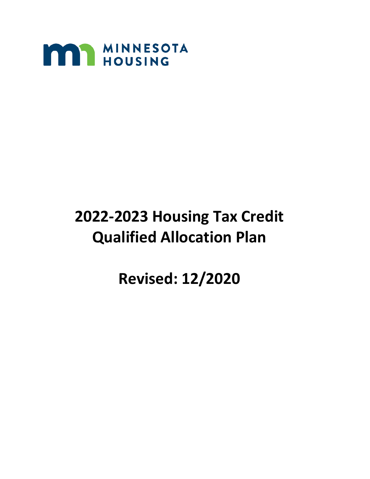

# **2022-2023 Housing Tax Credit Qualified Allocation Plan**

**Revised: 12/2020**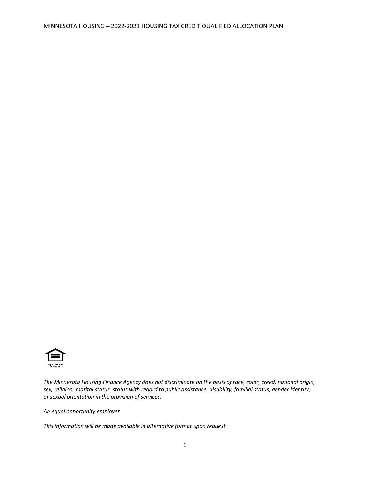

*The Minnesota Housing Finance Agency does not discriminate on the basis of race, color, creed, national origin, sex, religion, marital status, status with regard to public assistance, disability, familial status, gender identity, or sexual orientation in the provision of services.*

*An equal opportunity employer.*

*This information will be made available in alternative format upon request.*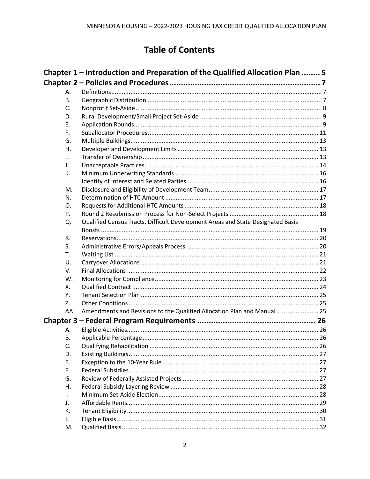# **Table of Contents**

|     | Chapter 1 – Introduction and Preparation of the Qualified Allocation Plan  5    |  |
|-----|---------------------------------------------------------------------------------|--|
|     |                                                                                 |  |
| А.  |                                                                                 |  |
| В.  |                                                                                 |  |
| C.  |                                                                                 |  |
| D.  |                                                                                 |  |
| Ε.  |                                                                                 |  |
| F.  |                                                                                 |  |
| G.  |                                                                                 |  |
| Η.  |                                                                                 |  |
| I.  |                                                                                 |  |
| J.  |                                                                                 |  |
| К.  |                                                                                 |  |
| L.  |                                                                                 |  |
| M.  |                                                                                 |  |
| N.  |                                                                                 |  |
| O.  |                                                                                 |  |
| Ρ.  |                                                                                 |  |
| Q.  | Qualified Census Tracts, Difficult Development Areas and State Designated Basis |  |
|     |                                                                                 |  |
| R.  |                                                                                 |  |
| S.  |                                                                                 |  |
| Т.  |                                                                                 |  |
| U.  |                                                                                 |  |
| V.  |                                                                                 |  |
| W.  |                                                                                 |  |
| Χ.  |                                                                                 |  |
| Υ.  |                                                                                 |  |
| Z.  |                                                                                 |  |
| AA. | Amendments and Revisions to the Qualified Allocation Plan and Manual  25        |  |
|     |                                                                                 |  |
| А.  |                                                                                 |  |
| В.  |                                                                                 |  |
| C.  |                                                                                 |  |
| D.  |                                                                                 |  |
| Ε.  |                                                                                 |  |
| F.  |                                                                                 |  |
| G.  |                                                                                 |  |
| Η.  |                                                                                 |  |
| L.  |                                                                                 |  |
| J.  |                                                                                 |  |
| К.  |                                                                                 |  |
| L.  |                                                                                 |  |
| M.  |                                                                                 |  |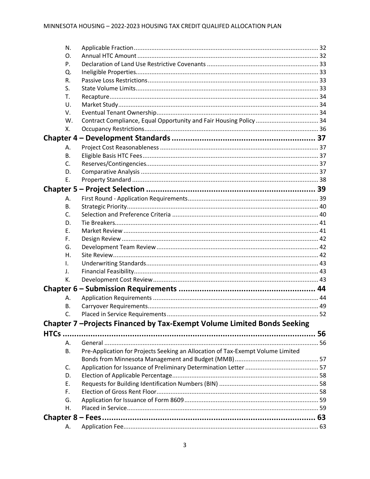| N. |                                                                                 |  |
|----|---------------------------------------------------------------------------------|--|
| O. |                                                                                 |  |
| P. |                                                                                 |  |
| Q. |                                                                                 |  |
| R. |                                                                                 |  |
| S. |                                                                                 |  |
| Т. |                                                                                 |  |
| U. |                                                                                 |  |
| V. |                                                                                 |  |
| W. |                                                                                 |  |
| Χ. |                                                                                 |  |
|    |                                                                                 |  |
| А. |                                                                                 |  |
| В. |                                                                                 |  |
| C. |                                                                                 |  |
| D. |                                                                                 |  |
| E. |                                                                                 |  |
|    |                                                                                 |  |
| А. |                                                                                 |  |
| В. |                                                                                 |  |
| C. |                                                                                 |  |
| D. |                                                                                 |  |
| Ε. |                                                                                 |  |
| F. |                                                                                 |  |
| G. |                                                                                 |  |
| Η. |                                                                                 |  |
| I. |                                                                                 |  |
| J. |                                                                                 |  |
| К. |                                                                                 |  |
|    |                                                                                 |  |
| А. |                                                                                 |  |
| В. |                                                                                 |  |
|    |                                                                                 |  |
|    | Chapter 7 - Projects Financed by Tax-Exempt Volume Limited Bonds Seeking        |  |
|    |                                                                                 |  |
| А. |                                                                                 |  |
| В. | Pre-Application for Projects Seeking an Allocation of Tax-Exempt Volume Limited |  |
|    |                                                                                 |  |
| C. |                                                                                 |  |
| D. |                                                                                 |  |
| Ε. |                                                                                 |  |
| F. |                                                                                 |  |
| G. |                                                                                 |  |
| Η. |                                                                                 |  |
|    |                                                                                 |  |
| А. |                                                                                 |  |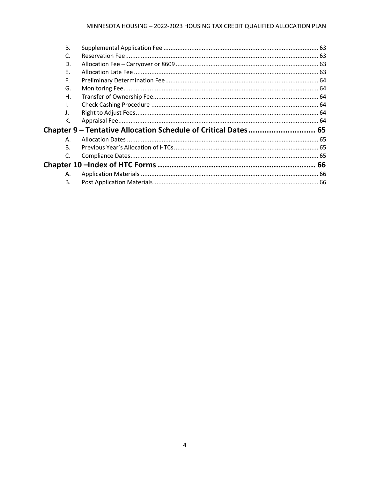#### MINNESOTA HOUSING - 2022-2023 HOUSING TAX CREDIT QUALIFIED ALLOCATION PLAN

| <b>B.</b>      |                                                                |  |
|----------------|----------------------------------------------------------------|--|
| C.             |                                                                |  |
| D.             |                                                                |  |
| Ε.             |                                                                |  |
| F.             |                                                                |  |
| G.             |                                                                |  |
| Η.             |                                                                |  |
| I.             |                                                                |  |
| J.             |                                                                |  |
| К.             |                                                                |  |
|                | Chapter 9 - Tentative Allocation Schedule of Critical Dates 65 |  |
| Α.             |                                                                |  |
| $\mathsf{B}$ . |                                                                |  |
| $\mathsf{C}$   |                                                                |  |
|                |                                                                |  |
| А.             |                                                                |  |
| В.             |                                                                |  |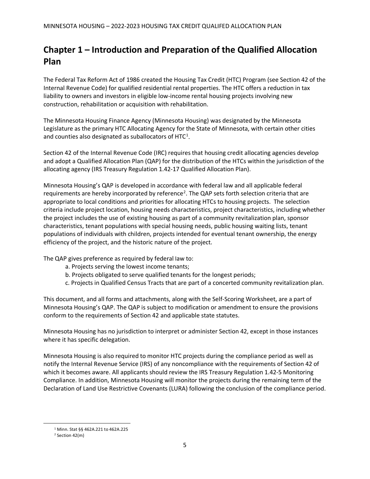# <span id="page-5-0"></span>**Chapter 1 – Introduction and Preparation of the Qualified Allocation Plan**

The Federal Tax Reform Act of 1986 created the Housing Tax Credit (HTC) Program (see Section 42 of the Internal Revenue Code) for qualified residential rental properties. The HTC offers a reduction in tax liability to owners and investors in eligible low-income rental housing projects involving new construction, rehabilitation or acquisition with rehabilitation.

The Minnesota Housing Finance Agency (Minnesota Housing) was designated by the Minnesota Legislature as the primary HTC Allocating Agency for the State of Minnesota, with certain other cities and counties also designated as suballocators of HTC<sup>[1](#page-5-1)</sup>.

Section 42 of the Internal Revenue Code (IRC) requires that housing credit allocating agencies develop and adopt a Qualified Allocation Plan (QAP) for the distribution of the HTCs within the jurisdiction of the allocating agency (IRS Treasury Regulation 1.42-17 Qualified Allocation Plan).

Minnesota Housing's QAP is developed in accordance with federal law and all applicable federal requirements are hereby incorporated by reference<sup>[2](#page-5-2)</sup>. The QAP sets forth selection criteria that are appropriate to local conditions and priorities for allocating HTCs to housing projects. The selection criteria include project location, housing needs characteristics, project characteristics, including whether the project includes the use of existing housing as part of a community revitalization plan, sponsor characteristics, tenant populations with special housing needs, public housing waiting lists, tenant populations of individuals with children, projects intended for eventual tenant ownership, the energy efficiency of the project, and the historic nature of the project.

The QAP gives preference as required by federal law to:

- a. Projects serving the lowest income tenants;
- b. Projects obligated to serve qualified tenants for the longest periods;
- c. Projects in Qualified Census Tracts that are part of a concerted community revitalization plan.

This document, and all forms and attachments, along with the Self-Scoring Worksheet, are a part of Minnesota Housing's QAP. The QAP is subject to modification or amendment to ensure the provisions conform to the requirements of Section 42 and applicable state statutes.

Minnesota Housing has no jurisdiction to interpret or administer Section 42, except in those instances where it has specific delegation.

Minnesota Housing is also required to monitor HTC projects during the compliance period as well as notify the Internal Revenue Service (IRS) of any noncompliance with the requirements of Section 42 of which it becomes aware. All applicants should review the IRS Treasury Regulation 1.42-5 Monitoring Compliance. In addition, Minnesota Housing will monitor the projects during the remaining term of the Declaration of Land Use Restrictive Covenants (LURA) following the conclusion of the compliance period.

<sup>1</sup> Minn. Stat §§ 462A.221 to 462A.225

<span id="page-5-2"></span><span id="page-5-1"></span><sup>2</sup> Section 42(m)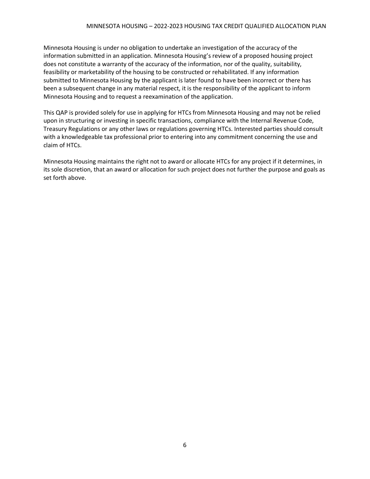Minnesota Housing is under no obligation to undertake an investigation of the accuracy of the information submitted in an application. Minnesota Housing's review of a proposed housing project does not constitute a warranty of the accuracy of the information, nor of the quality, suitability, feasibility or marketability of the housing to be constructed or rehabilitated. If any information submitted to Minnesota Housing by the applicant is later found to have been incorrect or there has been a subsequent change in any material respect, it is the responsibility of the applicant to inform Minnesota Housing and to request a reexamination of the application.

This QAP is provided solely for use in applying for HTCs from Minnesota Housing and may not be relied upon in structuring or investing in specific transactions, compliance with the Internal Revenue Code, Treasury Regulations or any other laws or regulations governing HTCs. Interested parties should consult with a knowledgeable tax professional prior to entering into any commitment concerning the use and claim of HTCs.

Minnesota Housing maintains the right not to award or allocate HTCs for any project if it determines, in its sole discretion, that an award or allocation for such project does not further the purpose and goals as set forth above.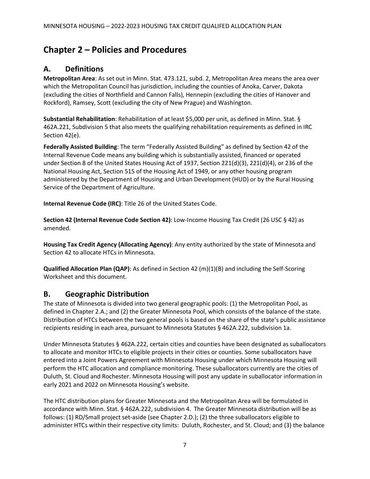## <span id="page-7-0"></span>**Chapter 2 – Policies and Procedures**

### <span id="page-7-1"></span>**A. Definitions**

**Metropolitan Area**: As set out in Minn. Stat. 473.121, subd. 2, Metropolitan Area means the area over which the Metropolitan Council has jurisdiction, including the counties of Anoka, Carver, Dakota (excluding the cities of Northfield and Cannon Falls), Hennepin (excluding the cities of Hanover and Rockford), Ramsey, Scott (excluding the city of New Prague) and Washington.

**Substantial Rehabilitation**: Rehabilitation of at least \$5,000 per unit, as defined in Minn. Stat. § 462A.221, Subdivision 5 that also meets the qualifying rehabilitation requirements as defined in IRC Section 42(e).

**Federally Assisted Building**: The term "Federally Assisted Building" as defined by Section 42 of the Internal Revenue Code means any building which is substantially assisted, financed or operated under Section 8 of the United States Housing Act of 1937, Section 221(d)(3), 221(d)(4), or 236 of the National Housing Act, Section 515 of the Housing Act of 1949, or any other housing program administered by the Department of Housing and Urban Development (HUD) or by the Rural Housing Service of the Department of Agriculture.

**Internal Revenue Code (IRC)**: Title 26 of the United States Code.

**Section 42 (Internal Revenue Code Section 42)**: Low-Income Housing Tax Credit (26 USC § 42) as amended.

**Housing Tax Credit Agency (Allocating Agency)**: Any entity authorized by the state of Minnesota and Section 42 to allocate HTCs in Minnesota.

**Qualified Allocation Plan (QAP)**: As defined in Section 42 (m)(1)(B) and including the Self-Scoring Worksheet and this document.

### <span id="page-7-2"></span>**B. Geographic Distribution**

The state of Minnesota is divided into two general geographic pools: (1) the Metropolitan Pool, as defined in Chapter 2.A.; and (2) the Greater Minnesota Pool, which consists of the balance of the state. Distribution of HTCs between the two general pools is based on the share of the state's public assistance recipients residing in each area, pursuant to Minnesota Statutes § 462A.222, subdivision 1a.

Under Minnesota Statutes § 462A.222, certain cities and counties have been designated as suballocators to allocate and monitor HTCs to eligible projects in their cities or counties. Some suballocators have entered into a Joint Powers Agreement with Minnesota Housing under which Minnesota Housing will perform the HTC allocation and compliance monitoring. These suballocators currently are the cities of Duluth, St. Cloud and Rochester. Minnesota Housing will post any update in suballocator information in early 2021 and 2022 on Minnesota Housing's website.

The HTC distribution plans for Greater Minnesota and the Metropolitan Area will be formulated in accordance with Minn. Stat. § 462A.222, subdivision 4. The Greater Minnesota distribution will be as follows: (1) RD/Small project set-aside (see Chapter 2.D.); (2) the three suballocators eligible to administer HTCs within their respective city limits: Duluth, Rochester, and St. Cloud; and (3) the balance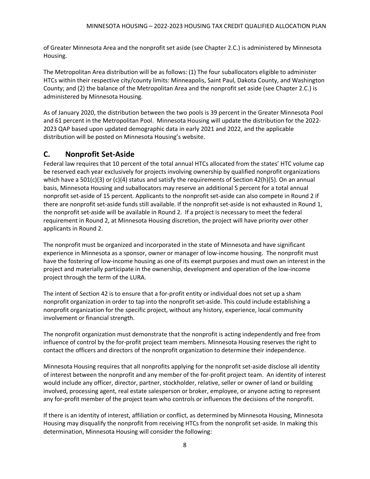of Greater Minnesota Area and the nonprofit set aside (see Chapter 2.C.) is administered by Minnesota Housing.

The Metropolitan Area distribution will be as follows: (1) The four suballocators eligible to administer HTCs within their respective city/county limits: Minneapolis, Saint Paul, Dakota County, and Washington County; and (2) the balance of the Metropolitan Area and the nonprofit set aside (see Chapter 2.C.) is administered by Minnesota Housing.

As of January 2020, the distribution between the two pools is 39 percent in the Greater Minnesota Pool and 61 percent in the Metropolitan Pool. Minnesota Housing will update the distribution for the 2022- 2023 QAP based upon updated demographic data in early 2021 and 2022, and the applicable distribution will be posted on Minnesota Housing's website.

### <span id="page-8-0"></span>**C. Nonprofit Set-Aside**

Federal law requires that 10 percent of the total annual HTCs allocated from the states' HTC volume cap be reserved each year exclusively for projects involving ownership by qualified nonprofit organizations which have a 501(c)(3) or (c)(4) status and satisfy the requirements of Section 42(h)(5). On an annual basis, Minnesota Housing and suballocators may reserve an additional 5 percent for a total annual nonprofit set-aside of 15 percent. Applicants to the nonprofit set-aside can also compete in Round 2 if there are nonprofit set-aside funds still available. If the nonprofit set-aside is not exhausted in Round 1, the nonprofit set-aside will be available in Round 2. If a project is necessary to meet the federal requirement in Round 2, at Minnesota Housing discretion, the project will have priority over other applicants in Round 2.

The nonprofit must be organized and incorporated in the state of Minnesota and have significant experience in Minnesota as a sponsor, owner or manager of low-income housing. The nonprofit must have the fostering of low-income housing as one of its exempt purposes and must own an interest in the project and materially participate in the ownership, development and operation of the low-income project through the term of the LURA.

The intent of Section 42 is to ensure that a for-profit entity or individual does not set up a sham nonprofit organization in order to tap into the nonprofit set-aside. This could include establishing a nonprofit organization for the specific project, without any history, experience, local community involvement or financial strength.

The nonprofit organization must demonstrate that the nonprofit is acting independently and free from influence of control by the for-profit project team members. Minnesota Housing reserves the right to contact the officers and directors of the nonprofit organization to determine their independence.

Minnesota Housing requires that all nonprofits applying for the nonprofit set-aside disclose all identity of interest between the nonprofit and any member of the for-profit project team. An identity of interest would include any officer, director, partner, stockholder, relative, seller or owner of land or building involved, processing agent, real estate salesperson or broker, employee, or anyone acting to represent any for-profit member of the project team who controls or influences the decisions of the nonprofit.

If there is an identity of interest, affiliation or conflict, as determined by Minnesota Housing, Minnesota Housing may disqualify the nonprofit from receiving HTCs from the nonprofit set-aside. In making this determination, Minnesota Housing will consider the following: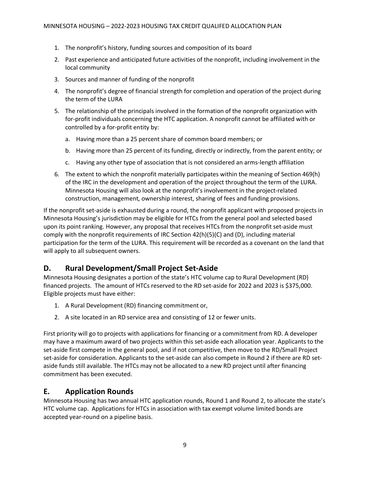- 1. The nonprofit's history, funding sources and composition of its board
- 2. Past experience and anticipated future activities of the nonprofit, including involvement in the local community
- 3. Sources and manner of funding of the nonprofit
- 4. The nonprofit's degree of financial strength for completion and operation of the project during the term of the LURA
- 5. The relationship of the principals involved in the formation of the nonprofit organization with for-profit individuals concerning the HTC application. A nonprofit cannot be affiliated with or controlled by a for-profit entity by:
	- a. Having more than a 25 percent share of common board members; or
	- b. Having more than 25 percent of its funding, directly or indirectly, from the parent entity; or
	- c. Having any other type of association that is not considered an arms-length affiliation
- 6. The extent to which the nonprofit materially participates within the meaning of Section 469(h) of the IRC in the development and operation of the project throughout the term of the LURA. Minnesota Housing will also look at the nonprofit's involvement in the project-related construction, management, ownership interest, sharing of fees and funding provisions.

If the nonprofit set-aside is exhausted during a round, the nonprofit applicant with proposed projects in Minnesota Housing's jurisdiction may be eligible for HTCs from the general pool and selected based upon its point ranking. However, any proposal that receives HTCs from the nonprofit set-aside must comply with the nonprofit requirements of IRC Section 42(h)(5)(C) and (D), including material participation for the term of the LURA. This requirement will be recorded as a covenant on the land that will apply to all subsequent owners.

### <span id="page-9-0"></span>**D. Rural Development/Small Project Set-Aside**

Minnesota Housing designates a portion of the state's HTC volume cap to Rural Development (RD) financed projects. The amount of HTCs reserved to the RD set-aside for 2022 and 2023 is \$375,000. Eligible projects must have either:

- 1. A Rural Development (RD) financing commitment or,
- 2. A site located in an RD service area and consisting of 12 or fewer units.

First priority will go to projects with applications for financing or a commitment from RD. A developer may have a maximum award of two projects within this set-aside each allocation year. Applicants to the set-aside first compete in the general pool, and if not competitive, then move to the RD/Small Project set-aside for consideration. Applicants to the set-aside can also compete in Round 2 if there are RD setaside funds still available. The HTCs may not be allocated to a new RD project until after financing commitment has been executed.

### <span id="page-9-1"></span>**E. Application Rounds**

Minnesota Housing has two annual HTC application rounds, Round 1 and Round 2, to allocate the state's HTC volume cap. Applications for HTCs in association with tax exempt volume limited bonds are accepted year-round on a pipeline basis.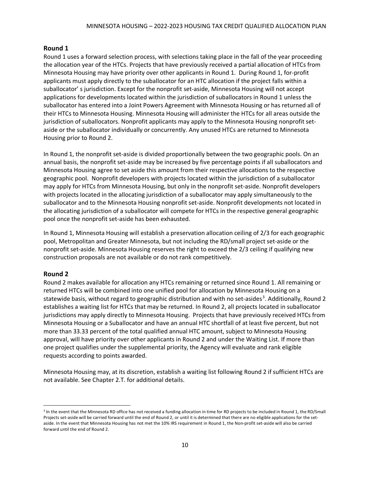#### **Round 1**

Round 1 uses a forward selection process, with selections taking place in the fall of the year proceeding the allocation year of the HTCs. Projects that have previously received a partial allocation of HTCs from Minnesota Housing may have priority over other applicants in Round 1. During Round 1, for-profit applicants must apply directly to the suballocator for an HTC allocation if the project falls within a suballocator' s jurisdiction. Except for the nonprofit set-aside, Minnesota Housing will not accept applications for developments located within the jurisdiction of suballocators in Round 1 unless the suballocator has entered into a Joint Powers Agreement with Minnesota Housing or has returned all of their HTCs to Minnesota Housing. Minnesota Housing will administer the HTCs for all areas outside the jurisdiction of suballocators. Nonprofit applicants may apply to the Minnesota Housing nonprofit setaside or the suballocator individually or concurrently. Any unused HTCs are returned to Minnesota Housing prior to Round 2.

In Round 1, the nonprofit set-aside is divided proportionally between the two geographic pools. On an annual basis, the nonprofit set-aside may be increased by five percentage points if all suballocators and Minnesota Housing agree to set aside this amount from their respective allocations to the respective geographic pool. Nonprofit developers with projects located within the jurisdiction of a suballocator may apply for HTCs from Minnesota Housing, but only in the nonprofit set-aside. Nonprofit developers with projects located in the allocating jurisdiction of a suballocator may apply simultaneously to the suballocator and to the Minnesota Housing nonprofit set-aside. Nonprofit developments not located in the allocating jurisdiction of a suballocator will compete for HTCs in the respective general geographic pool once the nonprofit set-aside has been exhausted.

In Round 1, Minnesota Housing will establish a preservation allocation ceiling of 2/3 for each geographic pool, Metropolitan and Greater Minnesota, but not including the RD/small project set-aside or the nonprofit set-aside. Minnesota Housing reserves the right to exceed the 2/3 ceiling if qualifying new construction proposals are not available or do not rank competitively.

#### **Round 2**

Round 2 makes available for allocation any HTCs remaining or returned since Round 1. All remaining or returned HTCs will be combined into one unified pool for allocation by Minnesota Housing on a statewide basis, without regard to geographic distribution and with no set-asides<sup>[3](#page-10-0)</sup>. Additionally, Round 2 establishes a waiting list for HTCs that may be returned. In Round 2, all projects located in suballocator jurisdictions may apply directly to Minnesota Housing. Projects that have previously received HTCs from Minnesota Housing or a Suballocator and have an annual HTC shortfall of at least five percent, but not more than 33.33 percent of the total qualified annual HTC amount, subject to Minnesota Housing approval, will have priority over other applicants in Round 2 and under the Waiting List. If more than one project qualifies under the supplemental priority, the Agency will evaluate and rank eligible requests according to points awarded.

Minnesota Housing may, at its discretion, establish a waiting list following Round 2 if sufficient HTCs are not available. See Chapter 2.T. for additional details.

<span id="page-10-0"></span><sup>&</sup>lt;sup>3</sup> In the event that the Minnesota RD office has not received a funding allocation in time for RD projects to be included in Round 1, the RD/Small Projects set-aside will be carried forward until the end of Round 2, or until it is determined that there are no eligible applications for the setaside. In the event that Minnesota Housing has not met the 10% IRS requirement in Round 1, the Non-profit set-aside will also be carried forward until the end of Round 2.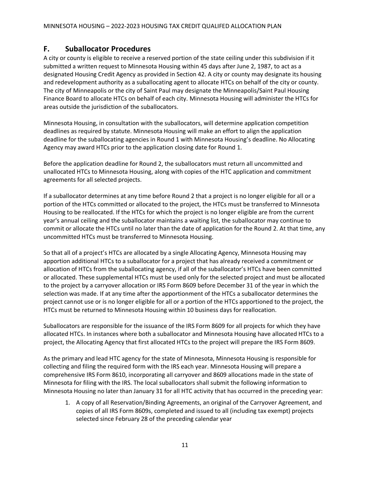#### <span id="page-11-0"></span>**F. Suballocator Procedures**

A city or county is eligible to receive a reserved portion of the state ceiling under this subdivision if it submitted a written request to Minnesota Housing within 45 days after June 2, 1987, to act as a designated Housing Credit Agency as provided in Section 42. A city or county may designate its housing and redevelopment authority as a suballocating agent to allocate HTCs on behalf of the city or county. The city of Minneapolis or the city of Saint Paul may designate the Minneapolis/Saint Paul Housing Finance Board to allocate HTCs on behalf of each city. Minnesota Housing will administer the HTCs for areas outside the jurisdiction of the suballocators.

Minnesota Housing, in consultation with the suballocators, will determine application competition deadlines as required by statute. Minnesota Housing will make an effort to align the application deadline for the suballocating agencies in Round 1 with Minnesota Housing's deadline. No Allocating Agency may award HTCs prior to the application closing date for Round 1.

Before the application deadline for Round 2, the suballocators must return all uncommitted and unallocated HTCs to Minnesota Housing, along with copies of the HTC application and commitment agreements for all selected projects.

If a suballocator determines at any time before Round 2 that a project is no longer eligible for all or a portion of the HTCs committed or allocated to the project, the HTCs must be transferred to Minnesota Housing to be reallocated. If the HTCs for which the project is no longer eligible are from the current year's annual ceiling and the suballocator maintains a waiting list, the suballocator may continue to commit or allocate the HTCs until no later than the date of application for the Round 2. At that time, any uncommitted HTCs must be transferred to Minnesota Housing.

So that all of a project's HTCs are allocated by a single Allocating Agency, Minnesota Housing may apportion additional HTCs to a suballocator for a project that has already received a commitment or allocation of HTCs from the suballocating agency, if all of the suballocator's HTCs have been committed or allocated. These supplemental HTCs must be used only for the selected project and must be allocated to the project by a carryover allocation or IRS Form 8609 before December 31 of the year in which the selection was made. If at any time after the apportionment of the HTCs a suballocator determines the project cannot use or is no longer eligible for all or a portion of the HTCs apportioned to the project, the HTCs must be returned to Minnesota Housing within 10 business days for reallocation.

Suballocators are responsible for the issuance of the IRS Form 8609 for all projects for which they have allocated HTCs. In instances where both a suballocator and Minnesota Housing have allocated HTCs to a project, the Allocating Agency that first allocated HTCs to the project will prepare the IRS Form 8609.

As the primary and lead HTC agency for the state of Minnesota, Minnesota Housing is responsible for collecting and filing the required form with the IRS each year. Minnesota Housing will prepare a comprehensive IRS Form 8610, incorporating all carryover and 8609 allocations made in the state of Minnesota for filing with the IRS. The local suballocators shall submit the following information to Minnesota Housing no later than January 31 for all HTC activity that has occurred in the preceding year:

1. A copy of all Reservation/Binding Agreements, an original of the Carryover Agreement, and copies of all IRS Form 8609s, completed and issued to all (including tax exempt) projects selected since February 28 of the preceding calendar year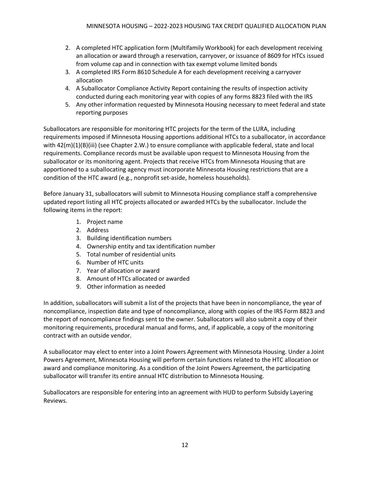- 2. A completed HTC application form (Multifamily Workbook) for each development receiving an allocation or award through a reservation, carryover, or issuance of 8609 for HTCs issued from volume cap and in connection with tax exempt volume limited bonds
- 3. A completed IRS Form 8610 Schedule A for each development receiving a carryover allocation
- 4. A Suballocator Compliance Activity Report containing the results of inspection activity conducted during each monitoring year with copies of any forms 8823 filed with the IRS
- 5. Any other information requested by Minnesota Housing necessary to meet federal and state reporting purposes

Suballocators are responsible for monitoring HTC projects for the term of the LURA, including requirements imposed if Minnesota Housing apportions additional HTCs to a suballocator, in accordance with 42(m)(1)(B)(iii) (see Chapter 2.W.) to ensure compliance with applicable federal, state and local requirements. Compliance records must be available upon request to Minnesota Housing from the suballocator or its monitoring agent. Projects that receive HTCs from Minnesota Housing that are apportioned to a suballocating agency must incorporate Minnesota Housing restrictions that are a condition of the HTC award (e.g., nonprofit set-aside, homeless households).

Before January 31, suballocators will submit to Minnesota Housing compliance staff a comprehensive updated report listing all HTC projects allocated or awarded HTCs by the suballocator. Include the following items in the report:

- 1. Project name
- 2. Address
- 3. Building identification numbers
- 4. Ownership entity and tax identification number
- 5. Total number of residential units
- 6. Number of HTC units
- 7. Year of allocation or award
- 8. Amount of HTCs allocated or awarded
- 9. Other information as needed

In addition, suballocators will submit a list of the projects that have been in noncompliance, the year of noncompliance, inspection date and type of noncompliance, along with copies of the IRS Form 8823 and the report of noncompliance findings sent to the owner. Suballocators will also submit a copy of their monitoring requirements, procedural manual and forms, and, if applicable, a copy of the monitoring contract with an outside vendor.

A suballocator may elect to enter into a Joint Powers Agreement with Minnesota Housing. Under a Joint Powers Agreement, Minnesota Housing will perform certain functions related to the HTC allocation or award and compliance monitoring. As a condition of the Joint Powers Agreement, the participating suballocator will transfer its entire annual HTC distribution to Minnesota Housing.

Suballocators are responsible for entering into an agreement with HUD to perform Subsidy Layering Reviews.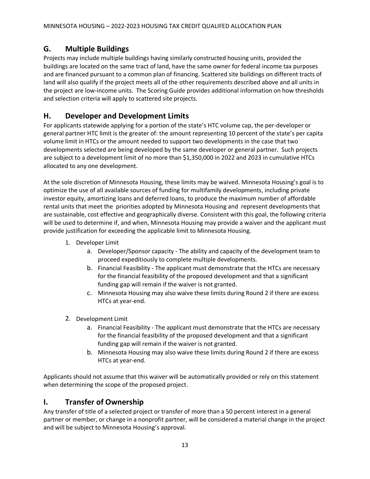### <span id="page-13-0"></span>**G. Multiple Buildings**

Projects may include multiple buildings having similarly constructed housing units, provided the buildings are located on the same tract of land, have the same owner for federal income tax purposes and are financed pursuant to a common plan of financing. Scattered site buildings on different tracts of land will also qualify if the project meets all of the other requirements described above and all units in the project are low-income units. The Scoring Guide provides additional information on how thresholds and selection criteria will apply to scattered site projects.

### <span id="page-13-1"></span>**H. Developer and Development Limits**

For applicants statewide applying for a portion of the state's HTC volume cap, the per-developer or general partner HTC limit is the greater of: the amount representing 10 percent of the state's per capita volume limit in HTCs or the amount needed to support two developments in the case that two developments selected are being developed by the same developer or general partner. Such projects are subject to a development limit of no more than \$1,350,000 in 2022 and 2023 in cumulative HTCs allocated to any one development.

At the sole discretion of Minnesota Housing, these limits may be waived. Minnesota Housing's goal is to optimize the use of all available sources of funding for multifamily developments, including private investor equity, amortizing loans and deferred loans, to produce the maximum number of affordable rental units that meet the priorities adopted by Minnesota Housing and represent developments that are sustainable, cost effective and geographically diverse. Consistent with this goal, the following criteria will be used to determine if, and when, Minnesota Housing may provide a waiver and the applicant must provide justification for exceeding the applicable limit to Minnesota Housing.

- 1. Developer Limit
	- a. Developer/Sponsor capacity The ability and capacity of the development team to proceed expeditiously to complete multiple developments.
	- b. Financial Feasibility The applicant must demonstrate that the HTCs are necessary for the financial feasibility of the proposed development and that a significant funding gap will remain if the waiver is not granted.
	- c. Minnesota Housing may also waive these limits during Round 2 if there are excess HTCs at year-end.
- 2. Development Limit
	- a. Financial Feasibility The applicant must demonstrate that the HTCs are necessary for the financial feasibility of the proposed development and that a significant funding gap will remain if the waiver is not granted.
	- b. Minnesota Housing may also waive these limits during Round 2 if there are excess HTCs at year-end.

Applicants should not assume that this waiver will be automatically provided or rely on this statement when determining the scope of the proposed project.

### <span id="page-13-2"></span>**I. Transfer of Ownership**

Any transfer of title of a selected project or transfer of more than a 50 percent interest in a general partner or member, or change in a nonprofit partner, will be considered a material change in the project and will be subject to Minnesota Housing's approval.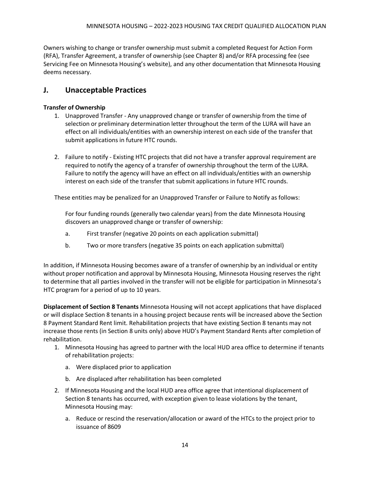Owners wishing to change or transfer ownership must submit a completed Request for Action Form (RFA), Transfer Agreement, a transfer of ownership (see Chapter 8) and/or RFA processing fee (see Servicing Fee on Minnesota Housing's website), and any other documentation that Minnesota Housing deems necessary.

### <span id="page-14-0"></span>**J. Unacceptable Practices**

#### **Transfer of Ownership**

- 1. Unapproved Transfer Any unapproved change or transfer of ownership from the time of selection or preliminary determination letter throughout the term of the LURA will have an effect on all individuals/entities with an ownership interest on each side of the transfer that submit applications in future HTC rounds.
- 2. Failure to notify Existing HTC projects that did not have a transfer approval requirement are required to notify the agency of a transfer of ownership throughout the term of the LURA. Failure to notify the agency will have an effect on all individuals/entities with an ownership interest on each side of the transfer that submit applications in future HTC rounds.

These entities may be penalized for an Unapproved Transfer or Failure to Notify as follows:

For four funding rounds (generally two calendar years) from the date Minnesota Housing discovers an unapproved change or transfer of ownership:

- a. First transfer (negative 20 points on each application submittal)
- b. Two or more transfers (negative 35 points on each application submittal)

In addition, if Minnesota Housing becomes aware of a transfer of ownership by an individual or entity without proper notification and approval by Minnesota Housing, Minnesota Housing reserves the right to determine that all parties involved in the transfer will not be eligible for participation in Minnesota's HTC program for a period of up to 10 years.

**Displacement of Section 8 Tenants** Minnesota Housing will not accept applications that have displaced or will displace Section 8 tenants in a housing project because rents will be increased above the Section 8 Payment Standard Rent limit. Rehabilitation projects that have existing Section 8 tenants may not increase those rents (in Section 8 units only) above HUD's Payment Standard Rents after completion of rehabilitation.

- 1. Minnesota Housing has agreed to partner with the local HUD area office to determine if tenants of rehabilitation projects:
	- a. Were displaced prior to application
	- b. Are displaced after rehabilitation has been completed
- 2. If Minnesota Housing and the local HUD area office agree that intentional displacement of Section 8 tenants has occurred, with exception given to lease violations by the tenant, Minnesota Housing may:
	- a. Reduce or rescind the reservation/allocation or award of the HTCs to the project prior to issuance of 8609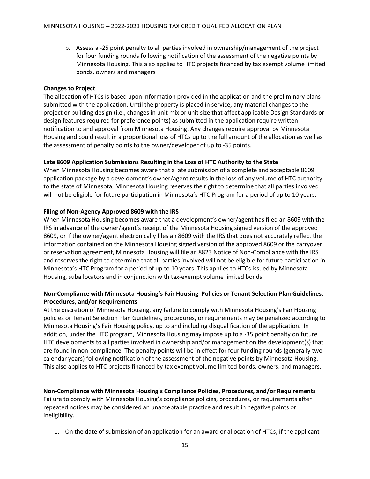b. Assess a -25 point penalty to all parties involved in ownership/management of the project for four funding rounds following notification of the assessment of the negative points by Minnesota Housing. This also applies to HTC projects financed by tax exempt volume limited bonds, owners and managers

#### **Changes to Project**

The allocation of HTCs is based upon information provided in the application and the preliminary plans submitted with the application. Until the property is placed in service, any material changes to the project or building design (i.e., changes in unit mix or unit size that affect applicable Design Standards or design features required for preference points) as submitted in the application require written notification to and approval from Minnesota Housing. Any changes require approval by Minnesota Housing and could result in a proportional loss of HTCs up to the full amount of the allocation as well as the assessment of penalty points to the owner/developer of up to -35 points.

#### **Late 8609 Application Submissions Resulting in the Loss of HTC Authority to the State**

When Minnesota Housing becomes aware that a late submission of a complete and acceptable 8609 application package by a development's owner/agent results in the loss of any volume of HTC authority to the state of Minnesota, Minnesota Housing reserves the right to determine that all parties involved will not be eligible for future participation in Minnesota's HTC Program for a period of up to 10 years.

#### **Filing of Non-Agency Approved 8609 with the IRS**

When Minnesota Housing becomes aware that a development's owner/agent has filed an 8609 with the IRS in advance of the owner/agent's receipt of the Minnesota Housing signed version of the approved 8609, or if the owner/agent electronically files an 8609 with the IRS that does not accurately reflect the information contained on the Minnesota Housing signed version of the approved 8609 or the carryover or reservation agreement, Minnesota Housing will file an 8823 Notice of Non-Compliance with the IRS and reserves the right to determine that all parties involved will not be eligible for future participation in Minnesota's HTC Program for a period of up to 10 years. This applies to HTCs issued by Minnesota Housing, suballocators and in conjunction with tax-exempt volume limited bonds.

#### **Non-Compliance with Minnesota Housing's Fair Housing Policies or Tenant Selection Plan Guidelines, Procedures, and/or Requirements**

At the discretion of Minnesota Housing, any failure to comply with Minnesota Housing's Fair Housing policies or Tenant Selection Plan Guidelines, procedures, or requirements may be penalized according to Minnesota Housing's Fair Housing policy, up to and including disqualification of the application. In addition, under the HTC program, Minnesota Housing may impose up to a -35 point penalty on future HTC developments to all parties involved in ownership and/or management on the development(s) that are found in non-compliance. The penalty points will be in effect for four funding rounds (generally two calendar years) following notification of the assessment of the negative points by Minnesota Housing. This also applies to HTC projects financed by tax exempt volume limited bonds, owners, and managers.

**Non-Compliance with Minnesota Housing**'**s Compliance Policies, Procedures, and/or Requirements** Failure to comply with Minnesota Housing's compliance policies, procedures, or requirements after repeated notices may be considered an unacceptable practice and result in negative points or ineligibility.

1. On the date of submission of an application for an award or allocation of HTCs, if the applicant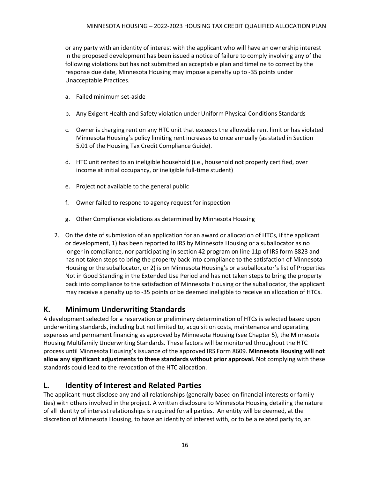or any party with an identity of interest with the applicant who will have an ownership interest in the proposed development has been issued a notice of failure to comply involving any of the following violations but has not submitted an acceptable plan and timeline to correct by the response due date, Minnesota Housing may impose a penalty up to -35 points under Unacceptable Practices.

- a. Failed minimum set-aside
- b. Any Exigent Health and Safety violation under Uniform Physical Conditions Standards
- c. Owner is charging rent on any HTC unit that exceeds the allowable rent limit or has violated Minnesota Housing's policy limiting rent increases to once annually (as stated in Section 5.01 of the Housing Tax Credit Compliance Guide).
- d. HTC unit rented to an ineligible household (i.e., household not properly certified, over income at initial occupancy, or ineligible full-time student)
- e. Project not available to the general public
- f. Owner failed to respond to agency request for inspection
- g. Other Compliance violations as determined by Minnesota Housing
- 2. On the date of submission of an application for an award or allocation of HTCs, if the applicant or development, 1) has been reported to IRS by Minnesota Housing or a suballocator as no longer in compliance, nor participating in section 42 program on line 11p of IRS form 8823 and has not taken steps to bring the property back into compliance to the satisfaction of Minnesota Housing or the suballocator, or 2) is on Minnesota Housing's or a suballocator's list of Properties Not in Good Standing in the Extended Use Period and has not taken steps to bring the property back into compliance to the satisfaction of Minnesota Housing or the suballocator, the applicant may receive a penalty up to -35 points or be deemed ineligible to receive an allocation of HTCs.

### <span id="page-16-0"></span>**K. Minimum Underwriting Standards**

A development selected for a reservation or preliminary determination of HTCs is selected based upon underwriting standards, including but not limited to, acquisition costs, maintenance and operating expenses and permanent financing as approved by Minnesota Housing (see Chapter 5), the Minnesota Housing Multifamily Underwriting Standards. These factors will be monitored throughout the HTC process until Minnesota Housing's issuance of the approved IRS Form 8609. **Minnesota Housing will not allow any significant adjustments to these standards without prior approval.** Not complying with these standards could lead to the revocation of the HTC allocation.

### <span id="page-16-1"></span>**L. Identity of Interest and Related Parties**

The applicant must disclose any and all relationships (generally based on financial interests or family ties) with others involved in the project. A written disclosure to Minnesota Housing detailing the nature of all identity of interest relationships is required for all parties. An entity will be deemed, at the discretion of Minnesota Housing, to have an identity of interest with, or to be a related party to, an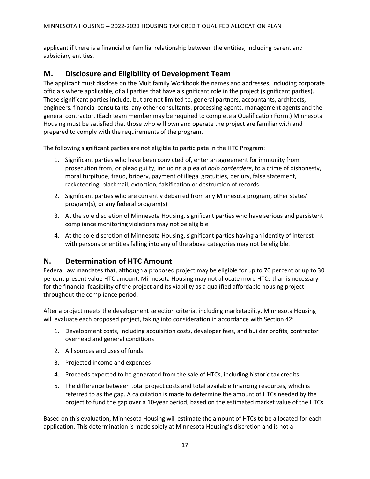applicant if there is a financial or familial relationship between the entities, including parent and subsidiary entities.

### <span id="page-17-0"></span>**M. Disclosure and Eligibility of Development Team**

The applicant must disclose on the Multifamily Workbook the names and addresses, including corporate officials where applicable, of all parties that have a significant role in the project (significant parties). These significant parties include, but are not limited to, general partners, accountants, architects, engineers, financial consultants, any other consultants, processing agents, management agents and the general contractor. (Each team member may be required to complete a Qualification Form.) Minnesota Housing must be satisfied that those who will own and operate the project are familiar with and prepared to comply with the requirements of the program.

The following significant parties are not eligible to participate in the HTC Program:

- 1. Significant parties who have been convicted of, enter an agreement for immunity from prosecution from, or plead guilty, including a plea of *nolo contendere*, to a crime of dishonesty, moral turpitude, fraud, bribery, payment of illegal gratuities, perjury, false statement, racketeering, blackmail, extortion, falsification or destruction of records
- 2. Significant parties who are currently debarred from any Minnesota program, other states' program(s), or any federal program(s)
- 3. At the sole discretion of Minnesota Housing, significant parties who have serious and persistent compliance monitoring violations may not be eligible
- 4. At the sole discretion of Minnesota Housing, significant parties having an identity of interest with persons or entities falling into any of the above categories may not be eligible.

### <span id="page-17-1"></span>**N. Determination of HTC Amount**

Federal law mandates that, although a proposed project may be eligible for up to 70 percent or up to 30 percent present value HTC amount, Minnesota Housing may not allocate more HTCs than is necessary for the financial feasibility of the project and its viability as a qualified affordable housing project throughout the compliance period.

After a project meets the development selection criteria, including marketability, Minnesota Housing will evaluate each proposed project, taking into consideration in accordance with Section 42:

- 1. Development costs, including acquisition costs, developer fees, and builder profits, contractor overhead and general conditions
- 2. All sources and uses of funds
- 3. Projected income and expenses
- 4. Proceeds expected to be generated from the sale of HTCs, including historic tax credits
- 5. The difference between total project costs and total available financing resources, which is referred to as the gap. A calculation is made to determine the amount of HTCs needed by the project to fund the gap over a 10-year period, based on the estimated market value of the HTCs.

Based on this evaluation, Minnesota Housing will estimate the amount of HTCs to be allocated for each application. This determination is made solely at Minnesota Housing's discretion and is not a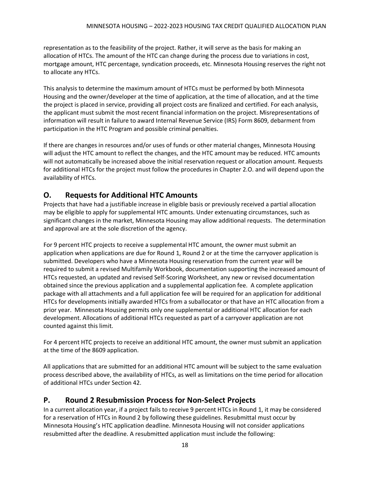representation as to the feasibility of the project. Rather, it will serve as the basis for making an allocation of HTCs. The amount of the HTC can change during the process due to variations in cost, mortgage amount, HTC percentage, syndication proceeds, etc. Minnesota Housing reserves the right not to allocate any HTCs.

This analysis to determine the maximum amount of HTCs must be performed by both Minnesota Housing and the owner/developer at the time of application, at the time of allocation, and at the time the project is placed in service, providing all project costs are finalized and certified. For each analysis, the applicant must submit the most recent financial information on the project. Misrepresentations of information will result in failure to award Internal Revenue Service (IRS) Form 8609, debarment from participation in the HTC Program and possible criminal penalties.

If there are changes in resources and/or uses of funds or other material changes, Minnesota Housing will adjust the HTC amount to reflect the changes, and the HTC amount may be reduced. HTC amounts will not automatically be increased above the initial reservation request or allocation amount. Requests for additional HTCs for the project must follow the procedures in Chapter 2.O. and will depend upon the availability of HTCs.

### <span id="page-18-0"></span>**O. Requests for Additional HTC Amounts**

Projects that have had a justifiable increase in eligible basis or previously received a partial allocation may be eligible to apply for supplemental HTC amounts. Under extenuating circumstances, such as significant changes in the market, Minnesota Housing may allow additional requests. The determination and approval are at the sole discretion of the agency.

For 9 percent HTC projects to receive a supplemental HTC amount, the owner must submit an application when applications are due for Round 1, Round 2 or at the time the carryover application is submitted. Developers who have a Minnesota Housing reservation from the current year will be required to submit a revised Multifamily Workbook, documentation supporting the increased amount of HTCs requested, an updated and revised Self-Scoring Worksheet, any new or revised documentation obtained since the previous application and a supplemental application fee. A complete application package with all attachments and a full application fee will be required for an application for additional HTCs for developments initially awarded HTCs from a suballocator or that have an HTC allocation from a prior year. Minnesota Housing permits only one supplemental or additional HTC allocation for each development. Allocations of additional HTCs requested as part of a carryover application are not counted against this limit.

For 4 percent HTC projects to receive an additional HTC amount, the owner must submit an application at the time of the 8609 application.

All applications that are submitted for an additional HTC amount will be subject to the same evaluation process described above, the availability of HTCs, as well as limitations on the time period for allocation of additional HTCs under Section 42.

### <span id="page-18-1"></span>**P. Round 2 Resubmission Process for Non-Select Projects**

In a current allocation year, if a project fails to receive 9 percent HTCs in Round 1, it may be considered for a reservation of HTCs in Round 2 by following these guidelines. Resubmittal must occur by Minnesota Housing's HTC application deadline. Minnesota Housing will not consider applications resubmitted after the deadline. A resubmitted application must include the following: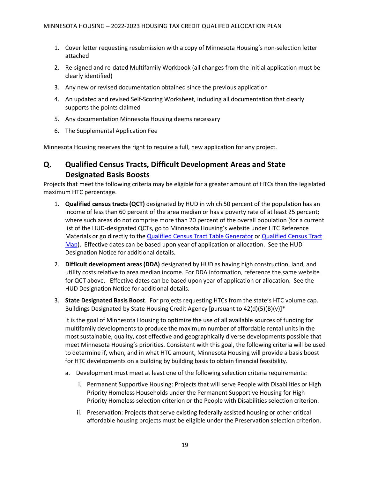- 1. Cover letter requesting resubmission with a copy of Minnesota Housing's non-selection letter attached
- 2. Re-signed and re-dated Multifamily Workbook (all changes from the initial application must be clearly identified)
- 3. Any new or revised documentation obtained since the previous application
- 4. An updated and revised Self-Scoring Worksheet, including all documentation that clearly supports the points claimed
- 5. Any documentation Minnesota Housing deems necessary
- 6. The Supplemental Application Fee

Minnesota Housing reserves the right to require a full, new application for any project.

### <span id="page-19-0"></span>**Q. Qualified Census Tracts, Difficult Development Areas and State Designated Basis Boosts**

Projects that meet the following criteria may be eligible for a greater amount of HTCs than the legislated maximum HTC percentage.

- 1. **Qualified census tracts (QCT)** designated by HUD in which 50 percent of the population has an income of less than 60 percent of the area median or has a poverty rate of at least 25 percent; where such areas do not comprise more than 20 percent of the overall population (for a current list of the HUD-designated QCTs, go to Minnesota Housing's website under HTC Reference Materials or go directly to the [Qualified Census Tract Table Generator](http://qct.huduser.org/index.html) or Qualified Census Tract [Map\)](https://www.huduser.gov/portal/sadda/sadda_qct.html). Effective dates can be based upon year of application or allocation. See the HUD Designation Notice for additional details.
- 2. **Difficult development areas (DDA)** designated by HUD as having high construction, land, and utility costs relative to area median income. For DDA information, reference the same website for QCT above. Effective dates can be based upon year of application or allocation. See the HUD Designation Notice for additional details.
- 3. **State Designated Basis Boost**. For projects requesting HTCs from the state's HTC volume cap. Buildings Designated by State Housing Credit Agency [pursuant to 42(d)(5)(B)(v)]\*

It is the goal of Minnesota Housing to optimize the use of all available sources of funding for multifamily developments to produce the maximum number of affordable rental units in the most sustainable, quality, cost effective and geographically diverse developments possible that meet Minnesota Housing's priorities. Consistent with this goal, the following criteria will be used to determine if, when, and in what HTC amount, Minnesota Housing will provide a basis boost for HTC developments on a building by building basis to obtain financial feasibility.

- a. Development must meet at least one of the following selection criteria requirements:
	- i. Permanent Supportive Housing: Projects that will serve People with Disabilities or High Priority Homeless Households under the Permanent Supportive Housing for High Priority Homeless selection criterion or the People with Disabilities selection criterion.
	- ii. Preservation: Projects that serve existing federally assisted housing or other critical affordable housing projects must be eligible under the Preservation selection criterion.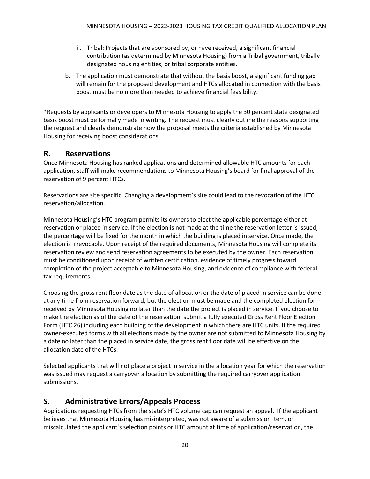- iii. Tribal: Projects that are sponsored by, or have received, a significant financial contribution (as determined by Minnesota Housing) from a Tribal government, tribally designated housing entities, or tribal corporate entities.
- b. The application must demonstrate that without the basis boost, a significant funding gap will remain for the proposed development and HTCs allocated in connection with the basis boost must be no more than needed to achieve financial feasibility.

\*Requests by applicants or developers to Minnesota Housing to apply the 30 percent state designated basis boost must be formally made in writing. The request must clearly outline the reasons supporting the request and clearly demonstrate how the proposal meets the criteria established by Minnesota Housing for receiving boost considerations.

### <span id="page-20-0"></span>**R. Reservations**

Once Minnesota Housing has ranked applications and determined allowable HTC amounts for each application, staff will make recommendations to Minnesota Housing's board for final approval of the reservation of 9 percent HTCs.

Reservations are site specific. Changing a development's site could lead to the revocation of the HTC reservation/allocation.

Minnesota Housing's HTC program permits its owners to elect the applicable percentage either at reservation or placed in service. If the election is not made at the time the reservation letter is issued, the percentage will be fixed for the month in which the building is placed in service. Once made, the election is irrevocable. Upon receipt of the required documents, Minnesota Housing will complete its reservation review and send reservation agreements to be executed by the owner. Each reservation must be conditioned upon receipt of written certification, evidence of timely progress toward completion of the project acceptable to Minnesota Housing, and evidence of compliance with federal tax requirements.

Choosing the gross rent floor date as the date of allocation or the date of placed in service can be done at any time from reservation forward, but the election must be made and the completed election form received by Minnesota Housing no later than the date the project is placed in service. If you choose to make the election as of the date of the reservation, submit a fully executed Gross Rent Floor Election Form (HTC 26) including each building of the development in which there are HTC units. If the required owner-executed forms with all elections made by the owner are not submitted to Minnesota Housing by a date no later than the placed in service date, the gross rent floor date will be effective on the allocation date of the HTCs.

Selected applicants that will not place a project in service in the allocation year for which the reservation was issued may request a carryover allocation by submitting the required carryover application submissions.

### <span id="page-20-1"></span>**S. Administrative Errors/Appeals Process**

Applications requesting HTCs from the state's HTC volume cap can request an appeal. If the applicant believes that Minnesota Housing has misinterpreted, was not aware of a submission item, or miscalculated the applicant's selection points or HTC amount at time of application/reservation, the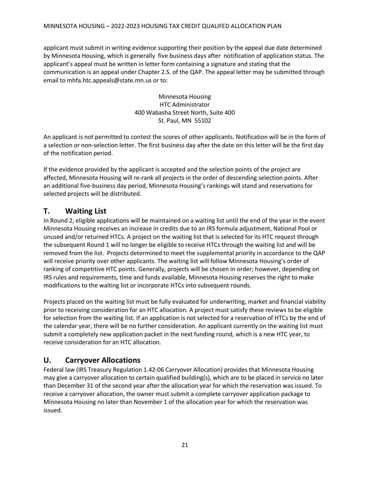#### MINNESOTA HOUSING – 2022-2023 HOUSING TAX CREDIT QUALIFED ALLOCATION PLAN

applicant must submit in writing evidence supporting their position by the appeal due date determined by Minnesota Housing, which is generally five business days after notification of application status. The applicant's appeal must be written in letter form containing a signature and stating that the communication is an appeal under Chapter 2.S. of the QAP. The appeal letter may be submitted through email to mhfa.htc.appeals@state.mn.us or to:

> Minnesota Housing HTC Administrator 400 Wabasha Street North, Suite 400 St. Paul, MN 55102

An applicant is not permitted to contest the scores of other applicants. Notification will be in the form of a selection or non-selection letter. The first business day after the date on this letter will be the first day of the notification period.

If the evidence provided by the applicant is accepted and the selection points of the project are affected, Minnesota Housing will re-rank all projects in the order of descending selection points. After an additional five-business day period, Minnesota Housing's rankings will stand and reservations for selected projects will be distributed.

#### <span id="page-21-0"></span>**T. Waiting List**

In Round 2, eligible applications will be maintained on a waiting list until the end of the year in the event Minnesota Housing receives an increase in credits due to an IRS formula adjustment, National Pool or unused and/or returned HTCs. A project on the waiting list that is selected for its HTC request through the subsequent Round 1 will no longer be eligible to receive HTCs through the waiting list and will be removed from the list. Projects determined to meet the supplemental priority in accordance to the QAP will receive priority over other applicants. The waiting list will follow Minnesota Housing's order of ranking of competitive HTC points. Generally, projects will be chosen in order; however, depending on IRS rules and requirements, time and funds available, Minnesota Housing reserves the right to make modifications to the waiting list or incorporate HTCs into subsequent rounds.

Projects placed on the waiting list must be fully evaluated for underwriting, market and financial viability prior to receiving consideration for an HTC allocation. A project must satisfy these reviews to be eligible for selection from the waiting list. If an application is not selected for a reservation of HTCs by the end of the calendar year, there will be no further consideration. An applicant currently on the waiting list must submit a completely new application packet in the next funding round, which is a new HTC year, to receive consideration for an HTC allocation.

### <span id="page-21-1"></span>**U. Carryover Allocations**

Federal law (IRS Treasury Regulation 1.42-06 Carryover Allocation) provides that Minnesota Housing may give a carryover allocation to certain qualified building(s), which are to be placed in service no later than December 31 of the second year after the allocation year for which the reservation was issued. To receive a carryover allocation, the owner must submit a complete carryover application package to Minnesota Housing no later than November 1 of the allocation year for which the reservation was issued.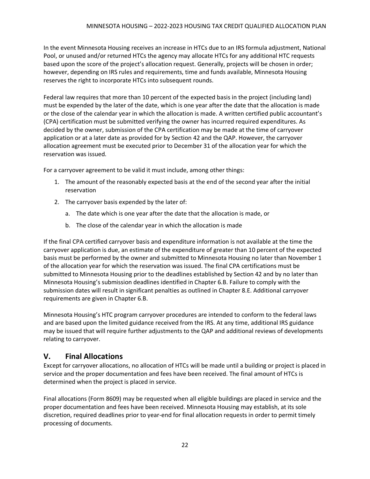In the event Minnesota Housing receives an increase in HTCs due to an IRS formula adjustment, National Pool, or unused and/or returned HTCs the agency may allocate HTCs for any additional HTC requests based upon the score of the project's allocation request. Generally, projects will be chosen in order; however, depending on IRS rules and requirements, time and funds available, Minnesota Housing reserves the right to incorporate HTCs into subsequent rounds.

Federal law requires that more than 10 percent of the expected basis in the project (including land) must be expended by the later of the date, which is one year after the date that the allocation is made or the close of the calendar year in which the allocation is made. A written certified public accountant's (CPA) certification must be submitted verifying the owner has incurred required expenditures. As decided by the owner, submission of the CPA certification may be made at the time of carryover application or at a later date as provided for by Section 42 and the QAP. However, the carryover allocation agreement must be executed prior to December 31 of the allocation year for which the reservation was issued.

For a carryover agreement to be valid it must include, among other things:

- 1. The amount of the reasonably expected basis at the end of the second year after the initial reservation
- 2. The carryover basis expended by the later of:
	- a. The date which is one year after the date that the allocation is made, or
	- b. The close of the calendar year in which the allocation is made

If the final CPA certified carryover basis and expenditure information is not available at the time the carryover application is due, an estimate of the expenditure of greater than 10 percent of the expected basis must be performed by the owner and submitted to Minnesota Housing no later than November 1 of the allocation year for which the reservation was issued. The final CPA certifications must be submitted to Minnesota Housing prior to the deadlines established by Section 42 and by no later than Minnesota Housing's submission deadlines identified in Chapter 6.B. Failure to comply with the submission dates will result in significant penalties as outlined in Chapter 8.E. Additional carryover requirements are given in Chapter 6.B.

Minnesota Housing's HTC program carryover procedures are intended to conform to the federal laws and are based upon the limited guidance received from the IRS. At any time, additional IRS guidance may be issued that will require further adjustments to the QAP and additional reviews of developments relating to carryover.

### <span id="page-22-0"></span>**V. Final Allocations**

Except for carryover allocations, no allocation of HTCs will be made until a building or project is placed in service and the proper documentation and fees have been received. The final amount of HTCs is determined when the project is placed in service.

Final allocations (Form 8609) may be requested when all eligible buildings are placed in service and the proper documentation and fees have been received. Minnesota Housing may establish, at its sole discretion, required deadlines prior to year-end for final allocation requests in order to permit timely processing of documents.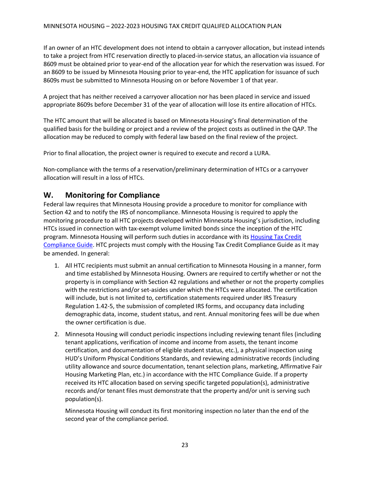If an owner of an HTC development does not intend to obtain a carryover allocation, but instead intends to take a project from HTC reservation directly to placed-in-service status, an allocation via issuance of 8609 must be obtained prior to year-end of the allocation year for which the reservation was issued. For an 8609 to be issued by Minnesota Housing prior to year-end, the HTC application for issuance of such 8609s must be submitted to Minnesota Housing on or before November 1 of that year.

A project that has neither received a carryover allocation nor has been placed in service and issued appropriate 8609s before December 31 of the year of allocation will lose its entire allocation of HTCs.

The HTC amount that will be allocated is based on Minnesota Housing's final determination of the qualified basis for the building or project and a review of the project costs as outlined in the QAP. The allocation may be reduced to comply with federal law based on the final review of the project.

Prior to final allocation, the project owner is required to execute and record a LURA.

Non-compliance with the terms of a reservation/preliminary determination of HTCs or a carryover allocation will result in a loss of HTCs.

### <span id="page-23-0"></span>**W. Monitoring for Compliance**

Federal law requires that Minnesota Housing provide a procedure to monitor for compliance with Section 42 and to notify the IRS of noncompliance. Minnesota Housing is required to apply the monitoring procedure to all HTC projects developed within Minnesota Housing's jurisdiction, including HTCs issued in connection with tax-exempt volume limited bonds since the inception of the HTC program. Minnesota Housing will perform such duties in accordance with its [Housing Tax Credit](http://www.mnhousing.gov/get/MHFA_1042363)  [Compliance Guide.](http://www.mnhousing.gov/get/MHFA_1042363) HTC projects must comply with the Housing Tax Credit Compliance Guide as it may be amended. In general:

- 1. All HTC recipients must submit an annual certification to Minnesota Housing in a manner, form and time established by Minnesota Housing. Owners are required to certify whether or not the property is in compliance with Section 42 regulations and whether or not the property complies with the restrictions and/or set-asides under which the HTCs were allocated. The certification will include, but is not limited to, certification statements required under IRS Treasury Regulation 1.42-5, the submission of completed IRS forms, and occupancy data including demographic data, income, student status, and rent. Annual monitoring fees will be due when the owner certification is due.
- 2. Minnesota Housing will conduct periodic inspections including reviewing tenant files (including tenant applications, verification of income and income from assets, the tenant income certification, and documentation of eligible student status, etc.), a physical inspection using HUD's Uniform Physical Conditions Standards, and reviewing administrative records (including utility allowance and source documentation, tenant selection plans, marketing, Affirmative Fair Housing Marketing Plan, etc.) in accordance with the HTC Compliance Guide. If a property received its HTC allocation based on serving specific targeted population(s), administrative records and/or tenant files must demonstrate that the property and/or unit is serving such population(s).

Minnesota Housing will conduct its first monitoring inspection no later than the end of the second year of the compliance period.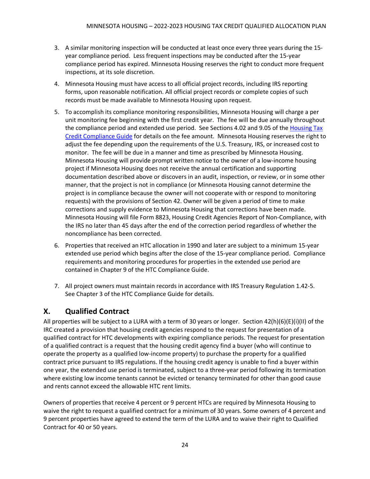- 3. A similar monitoring inspection will be conducted at least once every three years during the 15 year compliance period. Less frequent inspections may be conducted after the 15-year compliance period has expired. Minnesota Housing reserves the right to conduct more frequent inspections, at its sole discretion.
- 4. Minnesota Housing must have access to all official project records, including IRS reporting forms, upon reasonable notification. All official project records or complete copies of such records must be made available to Minnesota Housing upon request.
- 5. To accomplish its compliance monitoring responsibilities, Minnesota Housing will charge a per unit monitoring fee beginning with the first credit year. The fee will be due annually throughout the compliance period and extended use period. See Sections 4.02 and 9.05 of the [Housing Tax](http://www.mnhousing.gov/get/MHFA_1042363)  [Credit Compliance Guide](http://www.mnhousing.gov/get/MHFA_1042363) for details on the fee amount. Minnesota Housing reserves the right to adjust the fee depending upon the requirements of the U.S. Treasury, IRS, or increased cost to monitor. The fee will be due in a manner and time as prescribed by Minnesota Housing. Minnesota Housing will provide prompt written notice to the owner of a low-income housing project if Minnesota Housing does not receive the annual certification and supporting documentation described above or discovers in an audit, inspection, or review, or in some other manner, that the project is not in compliance (or Minnesota Housing cannot determine the project is in compliance because the owner will not cooperate with or respond to monitoring requests) with the provisions of Section 42. Owner will be given a period of time to make corrections and supply evidence to Minnesota Housing that corrections have been made. Minnesota Housing will file Form 8823, Housing Credit Agencies Report of Non-Compliance, with the IRS no later than 45 days after the end of the correction period regardless of whether the noncompliance has been corrected.
- 6. Properties that received an HTC allocation in 1990 and later are subject to a minimum 15-year extended use period which begins after the close of the 15-year compliance period. Compliance requirements and monitoring procedures for properties in the extended use period are contained in Chapter 9 of the HTC Compliance Guide.
- 7. All project owners must maintain records in accordance with IRS Treasury Regulation 1.42-5. See Chapter 3 of the HTC Compliance Guide for details.

### <span id="page-24-0"></span>**X. Qualified Contract**

All properties will be subject to a LURA with a term of 30 years or longer. Section 42(h)(6)(E)(i)(II) of the IRC created a provision that housing credit agencies respond to the request for presentation of a qualified contract for HTC developments with expiring compliance periods. The request for presentation of a qualified contract is a request that the housing credit agency find a buyer (who will continue to operate the property as a qualified low-income property) to purchase the property for a qualified contract price pursuant to IRS regulations. If the housing credit agency is unable to find a buyer within one year, the extended use period is terminated, subject to a three-year period following its termination where existing low income tenants cannot be evicted or tenancy terminated for other than good cause and rents cannot exceed the allowable HTC rent limits.

Owners of properties that receive 4 percent or 9 percent HTCs are required by Minnesota Housing to waive the right to request a qualified contract for a minimum of 30 years. Some owners of 4 percent and 9 percent properties have agreed to extend the term of the LURA and to waive their right to Qualified Contract for 40 or 50 years.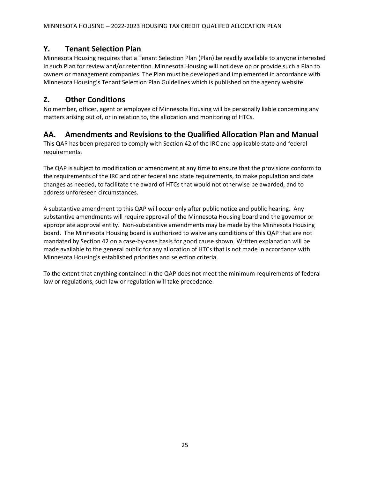### <span id="page-25-0"></span>**Y. Tenant Selection Plan**

Minnesota Housing requires that a Tenant Selection Plan (Plan) be readily available to anyone interested in such Plan for review and/or retention. Minnesota Housing will not develop or provide such a Plan to owners or management companies. The Plan must be developed and implemented in accordance with Minnesota Housing's Tenant Selection Plan Guidelines which is published on the agency website.

### <span id="page-25-1"></span>**Z. Other Conditions**

No member, officer, agent or employee of Minnesota Housing will be personally liable concerning any matters arising out of, or in relation to, the allocation and monitoring of HTCs.

### <span id="page-25-2"></span>**AA. Amendments and Revisions to the Qualified Allocation Plan and Manual**

This QAP has been prepared to comply with Section 42 of the IRC and applicable state and federal requirements.

The QAP is subject to modification or amendment at any time to ensure that the provisions conform to the requirements of the IRC and other federal and state requirements, to make population and date changes as needed, to facilitate the award of HTCs that would not otherwise be awarded, and to address unforeseen circumstances.

A substantive amendment to this QAP will occur only after public notice and public hearing. Any substantive amendments will require approval of the Minnesota Housing board and the governor or appropriate approval entity. Non-substantive amendments may be made by the Minnesota Housing board. The Minnesota Housing board is authorized to waive any conditions of this QAP that are not mandated by Section 42 on a case-by-case basis for good cause shown. Written explanation will be made available to the general public for any allocation of HTCs that is not made in accordance with Minnesota Housing's established priorities and selection criteria.

To the extent that anything contained in the QAP does not meet the minimum requirements of federal law or regulations, such law or regulation will take precedence.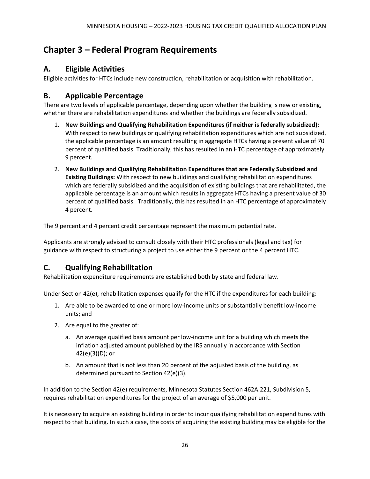# <span id="page-26-0"></span>**Chapter 3 – Federal Program Requirements**

### <span id="page-26-1"></span>**A. Eligible Activities**

Eligible activities for HTCs include new construction, rehabilitation or acquisition with rehabilitation.

### <span id="page-26-2"></span>**B. Applicable Percentage**

There are two levels of applicable percentage, depending upon whether the building is new or existing, whether there are rehabilitation expenditures and whether the buildings are federally subsidized.

- 1. **New Buildings and Qualifying Rehabilitation Expenditures (if neither is federally subsidized):** With respect to new buildings or qualifying rehabilitation expenditures which are not subsidized, the applicable percentage is an amount resulting in aggregate HTCs having a present value of 70 percent of qualified basis. Traditionally, this has resulted in an HTC percentage of approximately 9 percent.
- 2. **New Buildings and Qualifying Rehabilitation Expenditures that are Federally Subsidized and Existing Buildings:** With respect to new buildings and qualifying rehabilitation expenditures which are federally subsidized and the acquisition of existing buildings that are rehabilitated, the applicable percentage is an amount which results in aggregate HTCs having a present value of 30 percent of qualified basis. Traditionally, this has resulted in an HTC percentage of approximately 4 percent.

The 9 percent and 4 percent credit percentage represent the maximum potential rate.

Applicants are strongly advised to consult closely with their HTC professionals (legal and tax) for guidance with respect to structuring a project to use either the 9 percent or the 4 percent HTC.

### <span id="page-26-3"></span>**C. Qualifying Rehabilitation**

Rehabilitation expenditure requirements are established both by state and federal law.

Under Section 42(e), rehabilitation expenses qualify for the HTC if the expenditures for each building:

- 1. Are able to be awarded to one or more low-income units or substantially benefit low-income units; and
- 2. Are equal to the greater of:
	- a. An average qualified basis amount per low-income unit for a building which meets the inflation adjusted amount published by the IRS annually in accordance with Section 42(e)(3)(D); or
	- b. An amount that is not less than 20 percent of the adjusted basis of the building, as determined pursuant to Section 42(e)(3).

In addition to the Section 42(e) requirements, Minnesota Statutes Section 462A.221, Subdivision 5, requires rehabilitation expenditures for the project of an average of \$5,000 per unit.

It is necessary to acquire an existing building in order to incur qualifying rehabilitation expenditures with respect to that building. In such a case, the costs of acquiring the existing building may be eligible for the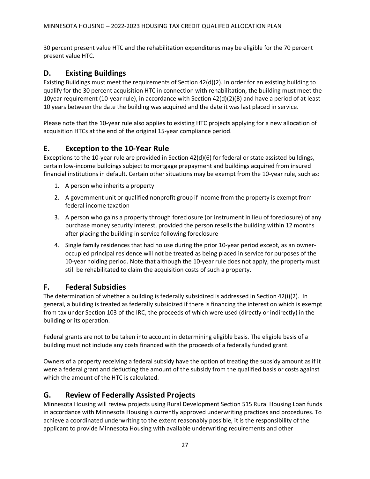30 percent present value HTC and the rehabilitation expenditures may be eligible for the 70 percent present value HTC.

### <span id="page-27-0"></span>**D. Existing Buildings**

Existing Buildings must meet the requirements of Section 42(d)(2). In order for an existing building to qualify for the 30 percent acquisition HTC in connection with rehabilitation, the building must meet the 10year requirement (10-year rule), in accordance with Section 42(d)(2)(B) and have a period of at least 10 years between the date the building was acquired and the date it was last placed in service.

Please note that the 10-year rule also applies to existing HTC projects applying for a new allocation of acquisition HTCs at the end of the original 15-year compliance period.

### <span id="page-27-1"></span>**E. Exception to the 10-Year Rule**

Exceptions to the 10-year rule are provided in Section 42(d)(6) for federal or state assisted buildings, certain low-income buildings subject to mortgage prepayment and buildings acquired from insured financial institutions in default. Certain other situations may be exempt from the 10-year rule, such as:

- 1. A person who inherits a property
- 2. A government unit or qualified nonprofit group if income from the property is exempt from federal income taxation
- 3. A person who gains a property through foreclosure (or instrument in lieu of foreclosure) of any purchase money security interest, provided the person resells the building within 12 months after placing the building in service following foreclosure
- 4. Single family residences that had no use during the prior 10-year period except, as an owneroccupied principal residence will not be treated as being placed in service for purposes of the 10-year holding period. Note that although the 10-year rule does not apply, the property must still be rehabilitated to claim the acquisition costs of such a property.

### <span id="page-27-2"></span>**F. Federal Subsidies**

The determination of whether a building is federally subsidized is addressed in Section 42(i)(2). In general, a building is treated as federally subsidized if there is financing the interest on which is exempt from tax under Section 103 of the IRC, the proceeds of which were used (directly or indirectly) in the building or its operation.

Federal grants are not to be taken into account in determining eligible basis. The eligible basis of a building must not include any costs financed with the proceeds of a federally funded grant.

Owners of a property receiving a federal subsidy have the option of treating the subsidy amount as if it were a federal grant and deducting the amount of the subsidy from the qualified basis or costs against which the amount of the HTC is calculated.

### <span id="page-27-3"></span>**G. Review of Federally Assisted Projects**

Minnesota Housing will review projects using Rural Development Section 515 Rural Housing Loan funds in accordance with Minnesota Housing's currently approved underwriting practices and procedures. To achieve a coordinated underwriting to the extent reasonably possible, it is the responsibility of the applicant to provide Minnesota Housing with available underwriting requirements and other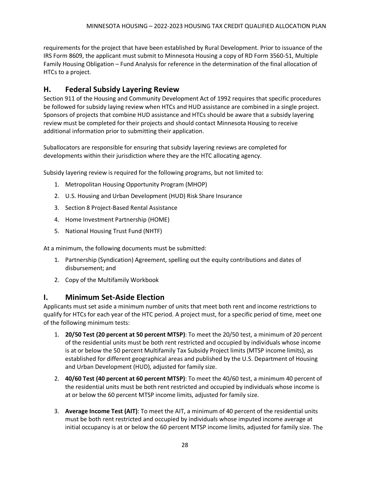requirements for the project that have been established by Rural Development. Prior to issuance of the IRS Form 8609, the applicant must submit to Minnesota Housing a copy of RD Form 3560-51, Multiple Family Housing Obligation – Fund Analysis for reference in the determination of the final allocation of HTCs to a project.

### <span id="page-28-0"></span>**H. Federal Subsidy Layering Review**

Section 911 of the Housing and Community Development Act of 1992 requires that specific procedures be followed for subsidy laying review when HTCs and HUD assistance are combined in a single project. Sponsors of projects that combine HUD assistance and HTCs should be aware that a subsidy layering review must be completed for their projects and should contact Minnesota Housing to receive additional information prior to submitting their application.

Suballocators are responsible for ensuring that subsidy layering reviews are completed for developments within their jurisdiction where they are the HTC allocating agency.

Subsidy layering review is required for the following programs, but not limited to:

- 1. Metropolitan Housing Opportunity Program (MHOP)
- 2. U.S. Housing and Urban Development (HUD) Risk Share Insurance
- 3. Section 8 Project-Based Rental Assistance
- 4. Home Investment Partnership (HOME)
- 5. National Housing Trust Fund (NHTF)

At a minimum, the following documents must be submitted:

- 1. Partnership (Syndication) Agreement, spelling out the equity contributions and dates of disbursement; and
- 2. Copy of the Multifamily Workbook

#### <span id="page-28-1"></span>**I. Minimum Set-Aside Election**

Applicants must set aside a minimum number of units that meet both rent and income restrictions to qualify for HTCs for each year of the HTC period. A project must, for a specific period of time, meet one of the following minimum tests:

- 1. **20/50 Test (20 percent at 50 percent MTSP)**: To meet the 20/50 test, a minimum of 20 percent of the residential units must be both rent restricted and occupied by individuals whose income is at or below the 50 percent Multifamily Tax Subsidy Project limits (MTSP income limits), as established for different geographical areas and published by the U.S. Department of Housing and Urban Development (HUD), adjusted for family size.
- 2. **40/60 Test (40 percent at 60 percent MTSP)**: To meet the 40/60 test, a minimum 40 percent of the residential units must be both rent restricted and occupied by individuals whose income is at or below the 60 percent MTSP income limits, adjusted for family size.
- 3. **Average Income Test (AIT)**: To meet the AIT, a minimum of 40 percent of the residential units must be both rent restricted and occupied by individuals whose imputed income average at initial occupancy is at or below the 60 percent MTSP income limits, adjusted for family size. The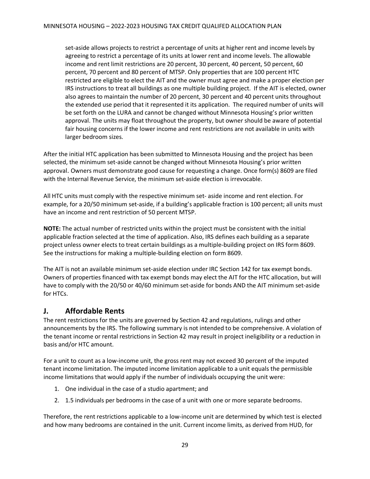set-aside allows projects to restrict a percentage of units at higher rent and income levels by agreeing to restrict a percentage of its units at lower rent and income levels. The allowable income and rent limit restrictions are 20 percent, 30 percent, 40 percent, 50 percent, 60 percent, 70 percent and 80 percent of MTSP. Only properties that are 100 percent HTC restricted are eligible to elect the AIT and the owner must agree and make a proper election per IRS instructions to treat all buildings as one multiple building project. If the AIT is elected, owner also agrees to maintain the number of 20 percent, 30 percent and 40 percent units throughout the extended use period that it represented it its application. The required number of units will be set forth on the LURA and cannot be changed without Minnesota Housing's prior written approval. The units may float throughout the property, but owner should be aware of potential fair housing concerns if the lower income and rent restrictions are not available in units with larger bedroom sizes.

After the initial HTC application has been submitted to Minnesota Housing and the project has been selected, the minimum set-aside cannot be changed without Minnesota Housing's prior written approval. Owners must demonstrate good cause for requesting a change. Once form(s) 8609 are filed with the Internal Revenue Service, the minimum set-aside election is irrevocable.

All HTC units must comply with the respective minimum set- aside income and rent election. For example, for a 20/50 minimum set-aside, if a building's applicable fraction is 100 percent; all units must have an income and rent restriction of 50 percent MTSP.

**NOTE:** The actual number of restricted units within the project must be consistent with the initial applicable fraction selected at the time of application. Also, IRS defines each building as a separate project unless owner elects to treat certain buildings as a multiple-building project on IRS form 8609. See the instructions for making a multiple-building election on form 8609.

The AIT is not an available minimum set-aside election under IRC Section 142 for tax exempt bonds. Owners of properties financed with tax exempt bonds may elect the AIT for the HTC allocation, but will have to comply with the 20/50 or 40/60 minimum set-aside for bonds AND the AIT minimum set-aside for HTCs.

#### <span id="page-29-0"></span>**J. Affordable Rents**

The rent restrictions for the units are governed by Section 42 and regulations, rulings and other announcements by the IRS. The following summary is not intended to be comprehensive. A violation of the tenant income or rental restrictions in Section 42 may result in project ineligibility or a reduction in basis and/or HTC amount.

For a unit to count as a low-income unit, the gross rent may not exceed 30 percent of the imputed tenant income limitation. The imputed income limitation applicable to a unit equals the permissible income limitations that would apply if the number of individuals occupying the unit were:

- 1. One individual in the case of a studio apartment; and
- 2. 1.5 individuals per bedrooms in the case of a unit with one or more separate bedrooms.

Therefore, the rent restrictions applicable to a low-income unit are determined by which test is elected and how many bedrooms are contained in the unit. Current income limits, as derived from HUD, for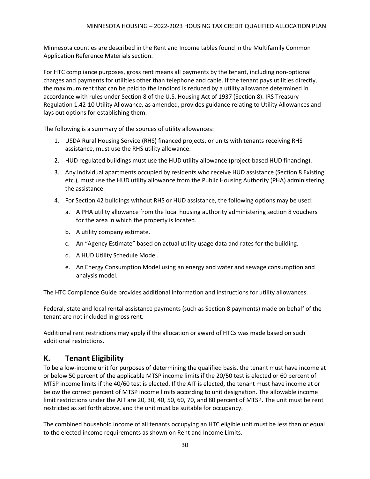Minnesota counties are described in the Rent and Income tables found in the Multifamily Common Application Reference Materials section.

For HTC compliance purposes, gross rent means all payments by the tenant, including non-optional charges and payments for utilities other than telephone and cable. If the tenant pays utilities directly, the maximum rent that can be paid to the landlord is reduced by a utility allowance determined in accordance with rules under Section 8 of the U.S. Housing Act of 1937 (Section 8). IRS Treasury Regulation 1.42-10 Utility Allowance, as amended, provides guidance relating to Utility Allowances and lays out options for establishing them.

The following is a summary of the sources of utility allowances:

- 1. USDA Rural Housing Service (RHS) financed projects, or units with tenants receiving RHS assistance, must use the RHS utility allowance.
- 2. HUD regulated buildings must use the HUD utility allowance (project-based HUD financing).
- 3. Any individual apartments occupied by residents who receive HUD assistance (Section 8 Existing, etc.), must use the HUD utility allowance from the Public Housing Authority (PHA) administering the assistance.
- 4. For Section 42 buildings without RHS or HUD assistance, the following options may be used:
	- a. A PHA utility allowance from the local housing authority administering section 8 vouchers for the area in which the property is located.
	- b. A utility company estimate.
	- c. An "Agency Estimate" based on actual utility usage data and rates for the building.
	- d. A HUD Utility Schedule Model.
	- e. An Energy Consumption Model using an energy and water and sewage consumption and analysis model.

The HTC Compliance Guide provides additional information and instructions for utility allowances.

Federal, state and local rental assistance payments (such as Section 8 payments) made on behalf of the tenant are not included in gross rent.

Additional rent restrictions may apply if the allocation or award of HTCs was made based on such additional restrictions.

### <span id="page-30-0"></span>**K. Tenant Eligibility**

To be a low-income unit for purposes of determining the qualified basis, the tenant must have income at or below 50 percent of the applicable MTSP income limits if the 20/50 test is elected or 60 percent of MTSP income limits if the 40/60 test is elected. If the AIT is elected, the tenant must have income at or below the correct percent of MTSP income limits according to unit designation. The allowable income limit restrictions under the AIT are 20, 30, 40, 50, 60, 70, and 80 percent of MTSP. The unit must be rent restricted as set forth above, and the unit must be suitable for occupancy.

The combined household income of all tenants occupying an HTC eligible unit must be less than or equal to the elected income requirements as shown on Rent and Income Limits.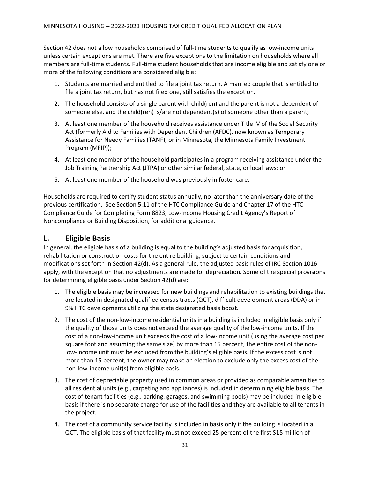Section 42 does not allow households comprised of full-time students to qualify as low-income units unless certain exceptions are met. There are five exceptions to the limitation on households where all members are full-time students. Full-time student households that are income eligible and satisfy one or more of the following conditions are considered eligible:

- 1. Students are married and entitled to file a joint tax return. A married couple that is entitled to file a joint tax return, but has not filed one, still satisfies the exception.
- 2. The household consists of a single parent with child(ren) and the parent is not a dependent of someone else, and the child(ren) is/are not dependent(s) of someone other than a parent;
- 3. At least one member of the household receives assistance under Title IV of the Social Security Act (formerly Aid to Families with Dependent Children (AFDC), now known as Temporary Assistance for Needy Families (TANF), or in Minnesota, the Minnesota Family Investment Program (MFIP));
- 4. At least one member of the household participates in a program receiving assistance under the Job Training Partnership Act (JTPA) or other similar federal, state, or local laws; or
- 5. At least one member of the household was previously in foster care.

Households are required to certify student status annually, no later than the anniversary date of the previous certification. See Section 5.11 of the HTC Compliance Guide and Chapter 17 of the HTC Compliance Guide for Completing Form 8823, Low-Income Housing Credit Agency's Report of Noncompliance or Building Disposition, for additional guidance.

#### <span id="page-31-0"></span>**L. Eligible Basis**

In general, the eligible basis of a building is equal to the building's adjusted basis for acquisition, rehabilitation or construction costs for the entire building, subject to certain conditions and modifications set forth in Section 42(d). As a general rule, the adjusted basis rules of IRC Section 1016 apply, with the exception that no adjustments are made for depreciation. Some of the special provisions for determining eligible basis under Section 42(d) are:

- 1. The eligible basis may be increased for new buildings and rehabilitation to existing buildings that are located in designated qualified census tracts (QCT), difficult development areas (DDA) or in 9% HTC developments utilizing the state designated basis boost.
- 2. The cost of the non-low-income residential units in a building is included in eligible basis only if the quality of those units does not exceed the average quality of the low-income units. If the cost of a non-low-income unit exceeds the cost of a low-income unit (using the average cost per square foot and assuming the same size) by more than 15 percent, the entire cost of the nonlow-income unit must be excluded from the building's eligible basis. If the excess cost is not more than 15 percent, the owner may make an election to exclude only the excess cost of the non-low-income unit(s) from eligible basis.
- 3. The cost of depreciable property used in common areas or provided as comparable amenities to all residential units (e.g., carpeting and appliances) is included in determining eligible basis. The cost of tenant facilities (e.g., parking, garages, and swimming pools) may be included in eligible basis if there is no separate charge for use of the facilities and they are available to all tenants in the project.
- 4. The cost of a community service facility is included in basis only if the building is located in a QCT. The eligible basis of that facility must not exceed 25 percent of the first \$15 million of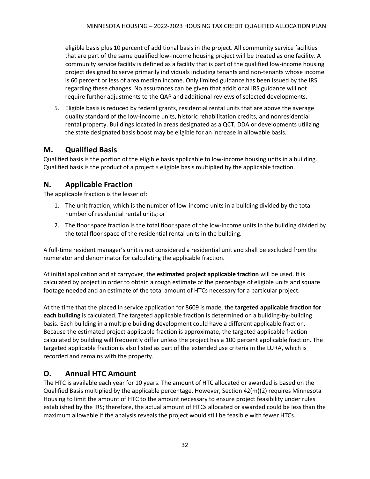eligible basis plus 10 percent of additional basis in the project. All community service facilities that are part of the same qualified low-income housing project will be treated as one facility. A community service facility is defined as a facility that is part of the qualified low-income housing project designed to serve primarily individuals including tenants and non-tenants whose income is 60 percent or less of area median income. Only limited guidance has been issued by the IRS regarding these changes. No assurances can be given that additional IRS guidance will not require further adjustments to the QAP and additional reviews of selected developments.

5. Eligible basis is reduced by federal grants, residential rental units that are above the average quality standard of the low-income units, historic rehabilitation credits, and nonresidential rental property. Buildings located in areas designated as a QCT, DDA or developments utilizing the state designated basis boost may be eligible for an increase in allowable basis.

### <span id="page-32-0"></span>**M. Qualified Basis**

Qualified basis is the portion of the eligible basis applicable to low-income housing units in a building. Qualified basis is the product of a project's eligible basis multiplied by the applicable fraction.

### <span id="page-32-1"></span>**N. Applicable Fraction**

The applicable fraction is the lesser of:

- 1. The unit fraction, which is the number of low-income units in a building divided by the total number of residential rental units; or
- 2. The floor space fraction is the total floor space of the low-income units in the building divided by the total floor space of the residential rental units in the building.

A full-time resident manager's unit is not considered a residential unit and shall be excluded from the numerator and denominator for calculating the applicable fraction.

At initial application and at carryover, the **estimated project applicable fraction** will be used. It is calculated by project in order to obtain a rough estimate of the percentage of eligible units and square footage needed and an estimate of the total amount of HTCs necessary for a particular project.

At the time that the placed in service application for 8609 is made, the **targeted applicable fraction for each building** is calculated. The targeted applicable fraction is determined on a building-by-building basis. Each building in a multiple building development could have a different applicable fraction. Because the estimated project applicable fraction is approximate, the targeted applicable fraction calculated by building will frequently differ unless the project has a 100 percent applicable fraction. The targeted applicable fraction is also listed as part of the extended use criteria in the LURA, which is recorded and remains with the property.

### <span id="page-32-2"></span>**O. Annual HTC Amount**

The HTC is available each year for 10 years. The amount of HTC allocated or awarded is based on the Qualified Basis multiplied by the applicable percentage. However, Section 42(m)(2) requires Minnesota Housing to limit the amount of HTC to the amount necessary to ensure project feasibility under rules established by the IRS; therefore, the actual amount of HTCs allocated or awarded could be less than the maximum allowable if the analysis reveals the project would still be feasible with fewer HTCs.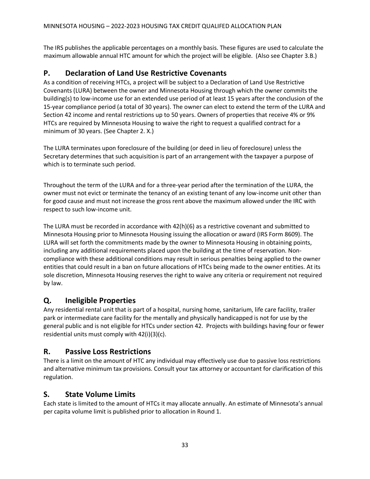The IRS publishes the applicable percentages on a monthly basis. These figures are used to calculate the maximum allowable annual HTC amount for which the project will be eligible. (Also see Chapter 3.B.)

### <span id="page-33-0"></span>**P. Declaration of Land Use Restrictive Covenants**

As a condition of receiving HTCs, a project will be subject to a Declaration of Land Use Restrictive Covenants (LURA) between the owner and Minnesota Housing through which the owner commits the building(s) to low-income use for an extended use period of at least 15 years after the conclusion of the 15-year compliance period (a total of 30 years). The owner can elect to extend the term of the LURA and Section 42 income and rental restrictions up to 50 years. Owners of properties that receive 4% or 9% HTCs are required by Minnesota Housing to waive the right to request a qualified contract for a minimum of 30 years. (See Chapter 2. X.)

The LURA terminates upon foreclosure of the building (or deed in lieu of foreclosure) unless the Secretary determines that such acquisition is part of an arrangement with the taxpayer a purpose of which is to terminate such period.

Throughout the term of the LURA and for a three-year period after the termination of the LURA, the owner must not evict or terminate the tenancy of an existing tenant of any low-income unit other than for good cause and must not increase the gross rent above the maximum allowed under the IRC with respect to such low-income unit.

The LURA must be recorded in accordance with 42(h)(6) as a restrictive covenant and submitted to Minnesota Housing prior to Minnesota Housing issuing the allocation or award (IRS Form 8609). The LURA will set forth the commitments made by the owner to Minnesota Housing in obtaining points, including any additional requirements placed upon the building at the time of reservation. Noncompliance with these additional conditions may result in serious penalties being applied to the owner entities that could result in a ban on future allocations of HTCs being made to the owner entities. At its sole discretion, Minnesota Housing reserves the right to waive any criteria or requirement not required by law.

### <span id="page-33-1"></span>**Q. Ineligible Properties**

Any residential rental unit that is part of a hospital, nursing home, sanitarium, life care facility, trailer park or intermediate care facility for the mentally and physically handicapped is not for use by the general public and is not eligible for HTCs under section 42. Projects with buildings having four or fewer residential units must comply with 42(i)(3)(c).

### <span id="page-33-2"></span>**R. Passive Loss Restrictions**

There is a limit on the amount of HTC any individual may effectively use due to passive loss restrictions and alternative minimum tax provisions. Consult your tax attorney or accountant for clarification of this regulation.

### <span id="page-33-3"></span>**S. State Volume Limits**

Each state is limited to the amount of HTCs it may allocate annually. An estimate of Minnesota's annual per capita volume limit is published prior to allocation in Round 1.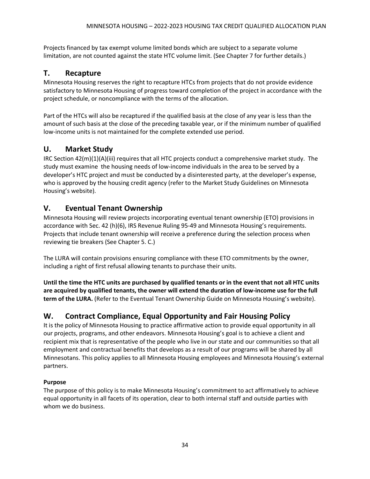Projects financed by tax exempt volume limited bonds which are subject to a separate volume limitation, are not counted against the state HTC volume limit. (See Chapter 7 for further details.)

### <span id="page-34-0"></span>**T. Recapture**

Minnesota Housing reserves the right to recapture HTCs from projects that do not provide evidence satisfactory to Minnesota Housing of progress toward completion of the project in accordance with the project schedule, or noncompliance with the terms of the allocation.

Part of the HTCs will also be recaptured if the qualified basis at the close of any year is less than the amount of such basis at the close of the preceding taxable year, or if the minimum number of qualified low-income units is not maintained for the complete extended use period.

### <span id="page-34-1"></span>**U. Market Study**

IRC Section 42(m)(1)(A)(iii) requires that all HTC projects conduct a comprehensive market study. The study must examine the housing needs of low-income individuals in the area to be served by a developer's HTC project and must be conducted by a disinterested party, at the developer's expense, who is approved by the housing credit agency (refer to the Market Study Guidelines on Minnesota Housing's website).

### <span id="page-34-2"></span>**V. Eventual Tenant Ownership**

Minnesota Housing will review projects incorporating eventual tenant ownership (ETO) provisions in accordance with Sec. 42 (h)(6), IRS Revenue Ruling 95-49 and Minnesota Housing's requirements. Projects that include tenant ownership will receive a preference during the selection process when reviewing tie breakers (See Chapter 5. C.)

The LURA will contain provisions ensuring compliance with these ETO commitments by the owner, including a right of first refusal allowing tenants to purchase their units.

**Until the time the HTC units are purchased by qualified tenants or in the event that not all HTC units are acquired by qualified tenants, the owner will extend the duration of low-income use for the full term of the LURA.** (Refer to the Eventual Tenant Ownership Guide on Minnesota Housing's website).

### <span id="page-34-3"></span>**W. Contract Compliance, Equal Opportunity and Fair Housing Policy**

It is the policy of Minnesota Housing to practice affirmative action to provide equal opportunity in all our projects, programs, and other endeavors. Minnesota Housing's goal is to achieve a client and recipient mix that is representative of the people who live in our state and our communities so that all employment and contractual benefits that develops as a result of our programs will be shared by all Minnesotans. This policy applies to all Minnesota Housing employees and Minnesota Housing's external partners.

#### **Purpose**

The purpose of this policy is to make Minnesota Housing's commitment to act affirmatively to achieve equal opportunity in all facets of its operation, clear to both internal staff and outside parties with whom we do business.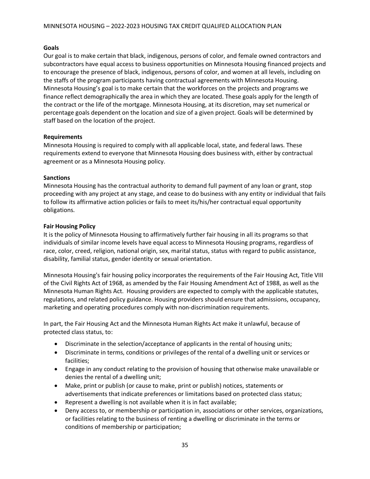#### **Goals**

Our goal is to make certain that black, indigenous, persons of color, and female owned contractors and subcontractors have equal access to business opportunities on Minnesota Housing financed projects and to encourage the presence of black, indigenous, persons of color, and women at all levels, including on the staffs of the program participants having contractual agreements with Minnesota Housing. Minnesota Housing's goal is to make certain that the workforces on the projects and programs we finance reflect demographically the area in which they are located. These goals apply for the length of the contract or the life of the mortgage. Minnesota Housing, at its discretion, may set numerical or percentage goals dependent on the location and size of a given project. Goals will be determined by staff based on the location of the project.

#### **Requirements**

Minnesota Housing is required to comply with all applicable local, state, and federal laws. These requirements extend to everyone that Minnesota Housing does business with, either by contractual agreement or as a Minnesota Housing policy.

#### **Sanctions**

Minnesota Housing has the contractual authority to demand full payment of any loan or grant, stop proceeding with any project at any stage, and cease to do business with any entity or individual that fails to follow its affirmative action policies or fails to meet its/his/her contractual equal opportunity obligations.

#### **Fair Housing Policy**

It is the policy of Minnesota Housing to affirmatively further fair housing in all its programs so that individuals of similar income levels have equal access to Minnesota Housing programs, regardless of race, color, creed, religion, national origin, sex, marital status, status with regard to public assistance, disability, familial status, gender identity or sexual orientation.

Minnesota Housing's fair housing policy incorporates the requirements of the Fair Housing Act, Title VIII of the Civil Rights Act of 1968, as amended by the Fair Housing Amendment Act of 1988, as well as the Minnesota Human Rights Act. Housing providers are expected to comply with the applicable statutes, regulations, and related policy guidance. Housing providers should ensure that admissions, occupancy, marketing and operating procedures comply with non-discrimination requirements.

In part, the Fair Housing Act and the Minnesota Human Rights Act make it unlawful, because of protected class status, to:

- Discriminate in the selection/acceptance of applicants in the rental of housing units;
- Discriminate in terms, conditions or privileges of the rental of a dwelling unit or services or facilities;
- Engage in any conduct relating to the provision of housing that otherwise make unavailable or denies the rental of a dwelling unit;
- Make, print or publish (or cause to make, print or publish) notices, statements or advertisements that indicate preferences or limitations based on protected class status;
- Represent a dwelling is not available when it is in fact available;
- Deny access to, or membership or participation in, associations or other services, organizations, or facilities relating to the business of renting a dwelling or discriminate in the terms or conditions of membership or participation;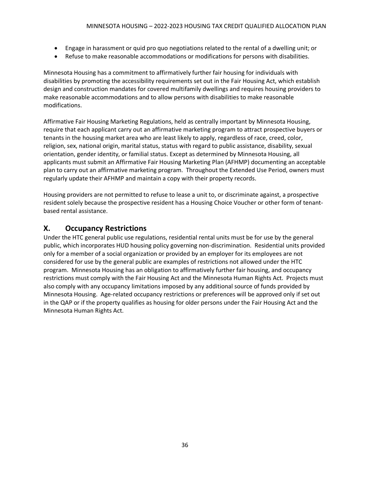- Engage in harassment or quid pro quo negotiations related to the rental of a dwelling unit; or
- Refuse to make reasonable accommodations or modifications for persons with disabilities.

Minnesota Housing has a commitment to affirmatively further fair housing for individuals with disabilities by promoting the accessibility requirements set out in the Fair Housing Act, which establish design and construction mandates for covered multifamily dwellings and requires housing providers to make reasonable accommodations and to allow persons with disabilities to make reasonable modifications.

Affirmative Fair Housing Marketing Regulations, held as centrally important by Minnesota Housing, require that each applicant carry out an affirmative marketing program to attract prospective buyers or tenants in the housing market area who are least likely to apply, regardless of race, creed, color, religion, sex, national origin, marital status, status with regard to public assistance, disability, sexual orientation, gender identity, or familial status. Except as determined by Minnesota Housing, all applicants must submit an Affirmative Fair Housing Marketing Plan (AFHMP) documenting an acceptable plan to carry out an affirmative marketing program. Throughout the Extended Use Period, owners must regularly update their AFHMP and maintain a copy with their property records.

Housing providers are not permitted to refuse to lease a unit to, or discriminate against, a prospective resident solely because the prospective resident has a Housing Choice Voucher or other form of tenantbased rental assistance.

### <span id="page-36-0"></span>**X. Occupancy Restrictions**

Under the HTC general public use regulations, residential rental units must be for use by the general public, which incorporates HUD housing policy governing non-discrimination. Residential units provided only for a member of a social organization or provided by an employer for its employees are not considered for use by the general public are examples of restrictions not allowed under the HTC program. Minnesota Housing has an obligation to affirmatively further fair housing, and occupancy restrictions must comply with the Fair Housing Act and the Minnesota Human Rights Act. Projects must also comply with any occupancy limitations imposed by any additional source of funds provided by Minnesota Housing. Age-related occupancy restrictions or preferences will be approved only if set out in the QAP or if the property qualifies as housing for older persons under the Fair Housing Act and the Minnesota Human Rights Act.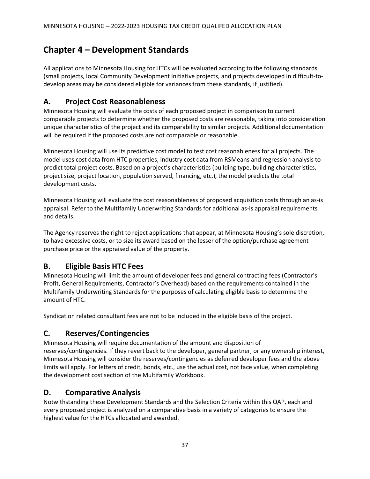# <span id="page-37-0"></span>**Chapter 4 – Development Standards**

All applications to Minnesota Housing for HTCs will be evaluated according to the following standards (small projects, local Community Development Initiative projects, and projects developed in difficult-todevelop areas may be considered eligible for variances from these standards, if justified).

### <span id="page-37-1"></span>**A. Project Cost Reasonableness**

Minnesota Housing will evaluate the costs of each proposed project in comparison to current comparable projects to determine whether the proposed costs are reasonable, taking into consideration unique characteristics of the project and its comparability to similar projects. Additional documentation will be required if the proposed costs are not comparable or reasonable.

Minnesota Housing will use its predictive cost model to test cost reasonableness for all projects. The model uses cost data from HTC properties, industry cost data from RSMeans and regression analysis to predict total project costs. Based on a project's characteristics (building type, building characteristics, project size, project location, population served, financing, etc.), the model predicts the total development costs.

Minnesota Housing will evaluate the cost reasonableness of proposed acquisition costs through an as-is appraisal. Refer to the Multifamily Underwriting Standards for additional as-is appraisal requirements and details.

The Agency reserves the right to reject applications that appear, at Minnesota Housing's sole discretion, to have excessive costs, or to size its award based on the lesser of the option/purchase agreement purchase price or the appraised value of the property.

### <span id="page-37-2"></span>**B. Eligible Basis HTC Fees**

Minnesota Housing will limit the amount of developer fees and general contracting fees (Contractor's Profit, General Requirements, Contractor's Overhead) based on the requirements contained in the Multifamily Underwriting Standards for the purposes of calculating eligible basis to determine the amount of HTC.

Syndication related consultant fees are not to be included in the eligible basis of the project.

### <span id="page-37-3"></span>**C. Reserves/Contingencies**

Minnesota Housing will require documentation of the amount and disposition of reserves/contingencies. If they revert back to the developer, general partner, or any ownership interest, Minnesota Housing will consider the reserves/contingencies as deferred developer fees and the above limits will apply. For letters of credit, bonds, etc., use the actual cost, not face value, when completing the development cost section of the Multifamily Workbook.

### <span id="page-37-4"></span>**D. Comparative Analysis**

Notwithstanding these Development Standards and the Selection Criteria within this QAP, each and every proposed project is analyzed on a comparative basis in a variety of categories to ensure the highest value for the HTCs allocated and awarded.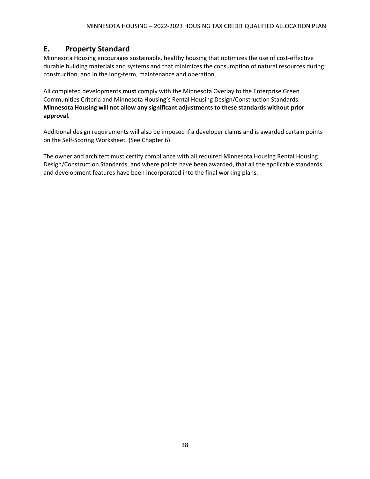### <span id="page-38-0"></span>**E. Property Standard**

Minnesota Housing encourages sustainable, healthy housing that optimizes the use of cost-effective durable building materials and systems and that minimizes the consumption of natural resources during construction, and in the long-term, maintenance and operation.

All completed developments **must** comply with the Minnesota Overlay to the Enterprise Green Communities Criteria and Minnesota Housing's Rental Housing Design/Construction Standards. **Minnesota Housing will not allow any significant adjustments to these standards without prior approval.**

Additional design requirements will also be imposed if a developer claims and is awarded certain points on the Self-Scoring Worksheet. (See Chapter 6).

The owner and architect must certify compliance with all required Minnesota Housing Rental Housing Design/Construction Standards, and where points have been awarded, that all the applicable standards and development features have been incorporated into the final working plans.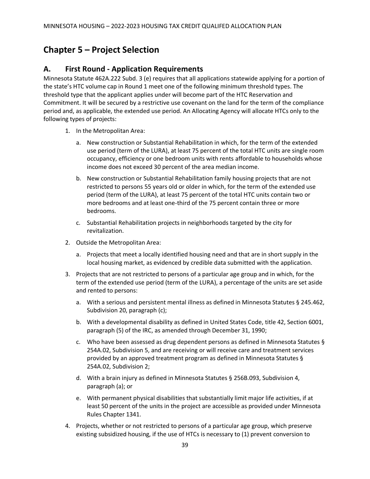# <span id="page-39-0"></span>**Chapter 5 – Project Selection**

#### <span id="page-39-1"></span>**A. First Round - Application Requirements**

Minnesota Statute 462A.222 Subd. 3 (e) requires that all applications statewide applying for a portion of the state's HTC volume cap in Round 1 meet one of the following minimum threshold types. The threshold type that the applicant applies under will become part of the HTC Reservation and Commitment. It will be secured by a restrictive use covenant on the land for the term of the compliance period and, as applicable, the extended use period. An Allocating Agency will allocate HTCs only to the following types of projects:

- 1. In the Metropolitan Area:
	- a. New construction or Substantial Rehabilitation in which, for the term of the extended use period (term of the LURA), at least 75 percent of the total HTC units are single room occupancy, efficiency or one bedroom units with rents affordable to households whose income does not exceed 30 percent of the area median income.
	- b. New construction or Substantial Rehabilitation family housing projects that are not restricted to persons 55 years old or older in which, for the term of the extended use period (term of the LURA), at least 75 percent of the total HTC units contain two or more bedrooms and at least one-third of the 75 percent contain three or more bedrooms.
	- c. Substantial Rehabilitation projects in neighborhoods targeted by the city for revitalization.
- 2. Outside the Metropolitan Area:
	- a. Projects that meet a locally identified housing need and that are in short supply in the local housing market, as evidenced by credible data submitted with the application.
- 3. Projects that are not restricted to persons of a particular age group and in which, for the term of the extended use period (term of the LURA), a percentage of the units are set aside and rented to persons:
	- a. With a serious and persistent mental illness as defined in Minnesota Statutes § 245.462, Subdivision 20, paragraph (c);
	- b. With a developmental disability as defined in United States Code, title 42, Section 6001, paragraph (5) of the IRC, as amended through December 31, 1990;
	- c. Who have been assessed as drug dependent persons as defined in Minnesota Statutes § 254A.02, Subdivision 5, and are receiving or will receive care and treatment services provided by an approved treatment program as defined in Minnesota Statutes § 254A.02, Subdivision 2;
	- d. With a brain injury as defined in Minnesota Statutes § 256B.093, Subdivision 4, paragraph (a); or
	- e. With permanent physical disabilities that substantially limit major life activities, if at least 50 percent of the units in the project are accessible as provided under Minnesota Rules Chapter 1341.
- 4. Projects, whether or not restricted to persons of a particular age group, which preserve existing subsidized housing, if the use of HTCs is necessary to (1) prevent conversion to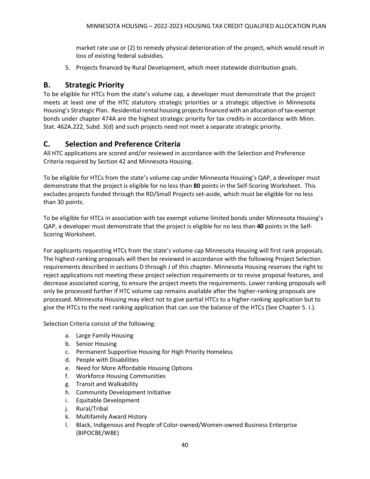market rate use or (2) to remedy physical deterioration of the project, which would result in loss of existing federal subsidies.

5. Projects financed by Rural Development, which meet statewide distribution goals.

### <span id="page-40-0"></span>**B. Strategic Priority**

To be eligible for HTCs from the state's volume cap, a developer must demonstrate that the project meets at least one of the HTC statutory strategic priorities or a strategic objective in Minnesota Housing's Strategic Plan. Residential rental housing projects financed with an allocation of tax-exempt bonds under chapter 474A are the highest strategic priority for tax credits in accordance with Minn. Stat. 462A.222, Subd. 3(d) and such projects need not meet a separate strategic priority.

### <span id="page-40-1"></span>**C. Selection and Preference Criteria**

All HTC applications are scored and/or reviewed in accordance with the Selection and Preference Criteria required by Section 42 and Minnesota Housing.

To be eligible for HTCs from the state's volume cap under Minnesota Housing's QAP, a developer must demonstrate that the project is eligible for no less than **80** points in the Self-Scoring Worksheet. This excludes projects funded through the RD/Small Projects set-aside, which must be eligible for no less than 30 points.

To be eligible for HTCs in association with tax exempt volume limited bonds under Minnesota Housing's QAP, a developer must demonstrate that the project is eligible for no less than **40** points in the Self-Scoring Worksheet.

For applicants requesting HTCs from the state's volume cap Minnesota Housing will first rank proposals. The highest-ranking proposals will then be reviewed in accordance with the following Project Selection requirements described in sections D through J of this chapter. Minnesota Housing reserves the right to reject applications not meeting these project selection requirements or to revise proposal features, and decrease associated scoring, to ensure the project meets the requirements. Lower ranking proposals will only be processed further if HTC volume cap remains available after the higher-ranking proposals are processed. Minnesota Housing may elect not to give partial HTCs to a higher-ranking application but to give the HTCs to the next ranking application that can use the balance of the HTCs (See Chapter 5. I.).

Selection Criteria consist of the following:

- a. Large Family Housing
- b. Senior Housing
- c. Permanent Supportive Housing for High Priority Homeless
- d. People with Disabilities
- e. Need for More Affordable Housing Options
- f. Workforce Housing Communities
- g. Transit and Walkability
- h. Community Development Initiative
- i. Equitable Development
- j. Rural/Tribal
- k. Multifamily Award History
- l. Black, Indigenous and People of Color-owned/Women-owned Business Enterprise (BIPOCBE/WBE)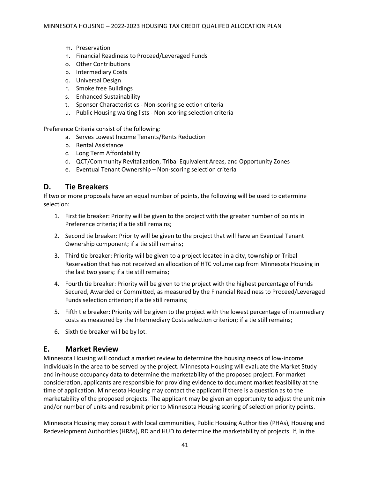- m. Preservation
- n. Financial Readiness to Proceed/Leveraged Funds
- o. Other Contributions
- p. Intermediary Costs
- q. Universal Design
- r. Smoke free Buildings
- s. Enhanced Sustainability
- t. Sponsor Characteristics Non-scoring selection criteria
- u. Public Housing waiting lists Non-scoring selection criteria

Preference Criteria consist of the following:

- a. Serves Lowest Income Tenants/Rents Reduction
- b. Rental Assistance
- c. Long Term Affordability
- d. QCT/Community Revitalization, Tribal Equivalent Areas, and Opportunity Zones
- e. Eventual Tenant Ownership Non-scoring selection criteria

### <span id="page-41-0"></span>**D. Tie Breakers**

If two or more proposals have an equal number of points, the following will be used to determine selection:

- 1. First tie breaker: Priority will be given to the project with the greater number of points in Preference criteria; if a tie still remains;
- 2. Second tie breaker: Priority will be given to the project that will have an Eventual Tenant Ownership component; if a tie still remains;
- 3. Third tie breaker: Priority will be given to a project located in a city, township or Tribal Reservation that has not received an allocation of HTC volume cap from Minnesota Housing in the last two years; if a tie still remains;
- 4. Fourth tie breaker: Priority will be given to the project with the highest percentage of Funds Secured, Awarded or Committed, as measured by the Financial Readiness to Proceed/Leveraged Funds selection criterion; if a tie still remains;
- 5. Fifth tie breaker: Priority will be given to the project with the lowest percentage of intermediary costs as measured by the Intermediary Costs selection criterion; if a tie still remains;
- 6. Sixth tie breaker will be by lot.

#### <span id="page-41-1"></span>**E. Market Review**

Minnesota Housing will conduct a market review to determine the housing needs of low-income individuals in the area to be served by the project. Minnesota Housing will evaluate the Market Study and in-house occupancy data to determine the marketability of the proposed project. For market consideration, applicants are responsible for providing evidence to document market feasibility at the time of application. Minnesota Housing may contact the applicant if there is a question as to the marketability of the proposed projects. The applicant may be given an opportunity to adjust the unit mix and/or number of units and resubmit prior to Minnesota Housing scoring of selection priority points.

Minnesota Housing may consult with local communities, Public Housing Authorities (PHAs), Housing and Redevelopment Authorities (HRAs), RD and HUD to determine the marketability of projects. If, in the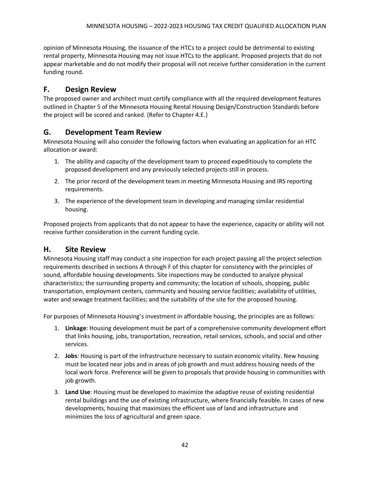opinion of Minnesota Housing, the issuance of the HTCs to a project could be detrimental to existing rental property, Minnesota Housing may not issue HTCs to the applicant. Proposed projects that do not appear marketable and do not modify their proposal will not receive further consideration in the current funding round.

### <span id="page-42-0"></span>**F. Design Review**

The proposed owner and architect must certify compliance with all the required development features outlined in Chapter 5 of the Minnesota Housing Rental Housing Design/Construction Standards before the project will be scored and ranked. (Refer to Chapter 4.E.)

### <span id="page-42-1"></span>**G. Development Team Review**

Minnesota Housing will also consider the following factors when evaluating an application for an HTC allocation or award:

- 1. The ability and capacity of the development team to proceed expeditiously to complete the proposed development and any previously selected projects still in process.
- 2. The prior record of the development team in meeting Minnesota Housing and IRS reporting requirements.
- 3. The experience of the development team in developing and managing similar residential housing.

Proposed projects from applicants that do not appear to have the experience, capacity or ability will not receive further consideration in the current funding cycle.

### <span id="page-42-2"></span>**H. Site Review**

Minnesota Housing staff may conduct a site inspection for each project passing all the project selection requirements described in sections A through F of this chapter for consistency with the principles of sound, affordable housing developments. Site inspections may be conducted to analyze physical characteristics; the surrounding property and community; the location of schools, shopping, public transportation, employment centers, community and housing service facilities; availability of utilities, water and sewage treatment facilities; and the suitability of the site for the proposed housing.

For purposes of Minnesota Housing's investment in affordable housing, the principles are as follows:

- 1. **Linkage**: Housing development must be part of a comprehensive community development effort that links housing, jobs, transportation, recreation, retail services, schools, and social and other services.
- 2. **Jobs**: Housing is part of the infrastructure necessary to sustain economic vitality. New housing must be located near jobs and in areas of job growth and must address housing needs of the local work force. Preference will be given to proposals that provide housing in communities with job growth.
- 3. **Land Use**: Housing must be developed to maximize the adaptive reuse of existing residential rental buildings and the use of existing infrastructure, where financially feasible. In cases of new developments, housing that maximizes the efficient use of land and infrastructure and minimizes the loss of agricultural and green space.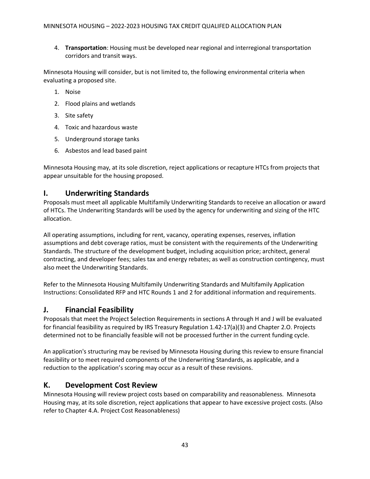4. **Transportation**: Housing must be developed near regional and interregional transportation corridors and transit ways.

Minnesota Housing will consider, but is not limited to, the following environmental criteria when evaluating a proposed site.

- 1. Noise
- 2. Flood plains and wetlands
- 3. Site safety
- 4. Toxic and hazardous waste
- 5. Underground storage tanks
- 6. Asbestos and lead based paint

Minnesota Housing may, at its sole discretion, reject applications or recapture HTCs from projects that appear unsuitable for the housing proposed.

### <span id="page-43-0"></span>**I. Underwriting Standards**

Proposals must meet all applicable Multifamily Underwriting Standards to receive an allocation or award of HTCs. The Underwriting Standards will be used by the agency for underwriting and sizing of the HTC allocation.

All operating assumptions, including for rent, vacancy, operating expenses, reserves, inflation assumptions and debt coverage ratios, must be consistent with the requirements of the Underwriting Standards. The structure of the development budget, including acquisition price; architect, general contracting, and developer fees; sales tax and energy rebates; as well as construction contingency, must also meet the Underwriting Standards.

Refer to the Minnesota Housing Multifamily Underwriting Standards and Multifamily Application Instructions: Consolidated RFP and HTC Rounds 1 and 2 for additional information and requirements.

### <span id="page-43-1"></span>**J. Financial Feasibility**

Proposals that meet the Project Selection Requirements in sections A through H and J will be evaluated for financial feasibility as required by IRS Treasury Regulation 1.42-17(a)(3) and Chapter 2.O. Projects determined not to be financially feasible will not be processed further in the current funding cycle.

An application's structuring may be revised by Minnesota Housing during this review to ensure financial feasibility or to meet required components of the Underwriting Standards, as applicable, and a reduction to the application's scoring may occur as a result of these revisions.

### <span id="page-43-2"></span>**K. Development Cost Review**

Minnesota Housing will review project costs based on comparability and reasonableness. Minnesota Housing may, at its sole discretion, reject applications that appear to have excessive project costs. (Also refer to Chapter 4.A. Project Cost Reasonableness)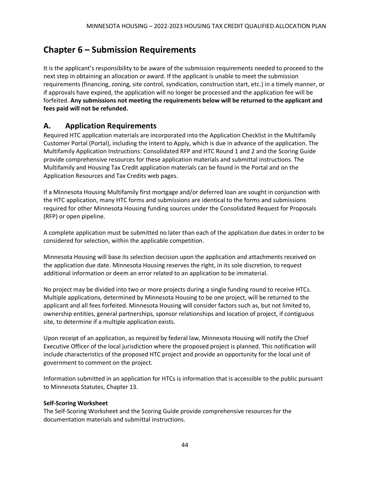# <span id="page-44-0"></span>**Chapter 6 – Submission Requirements**

It is the applicant's responsibility to be aware of the submission requirements needed to proceed to the next step in obtaining an allocation or award. If the applicant is unable to meet the submission requirements (financing, zoning, site control, syndication, construction start, etc.) in a timely manner, or if approvals have expired, the application will no longer be processed and the application fee will be forfeited. **Any submissions not meeting the requirements below will be returned to the applicant and fees paid will not be refunded.**

### <span id="page-44-1"></span>**A. Application Requirements**

Required HTC application materials are incorporated into the Application Checklist in the Multifamily Customer Portal (Portal), including the Intent to Apply, which is due in advance of the application. The Multifamily Application Instructions: Consolidated RFP and HTC Round 1 and 2 and the Scoring Guide provide comprehensive resources for these application materials and submittal instructions. The Multifamily and Housing Tax Credit application materials can be found in the Portal and on the Application Resources and Tax Credits web pages.

If a Minnesota Housing Multifamily first mortgage and/or deferred loan are sought in conjunction with the HTC application, many HTC forms and submissions are identical to the forms and submissions required for other Minnesota Housing funding sources under the Consolidated Request for Proposals (RFP) or open pipeline.

A complete application must be submitted no later than each of the application due dates in order to be considered for selection, within the applicable competition.

Minnesota Housing will base its selection decision upon the application and attachments received on the application due date. Minnesota Housing reserves the right, in its sole discretion, to request additional information or deem an error related to an application to be immaterial.

No project may be divided into two or more projects during a single funding round to receive HTCs. Multiple applications, determined by Minnesota Housing to be one project, will be returned to the applicant and all fees forfeited. Minnesota Housing will consider factors such as, but not limited to, ownership entities, general partnerships, sponsor relationships and location of project, if contiguous site, to determine if a multiple application exists.

Upon receipt of an application, as required by federal law, Minnesota Housing will notify the Chief Executive Officer of the local jurisdiction where the proposed project is planned. This notification will include characteristics of the proposed HTC project and provide an opportunity for the local unit of government to comment on the project.

Information submitted in an application for HTCs is information that is accessible to the public pursuant to Minnesota Statutes, Chapter 13.

#### **Self-Scoring Worksheet**

The Self-Scoring Worksheet and the Scoring Guide provide comprehensive resources for the documentation materials and submittal instructions.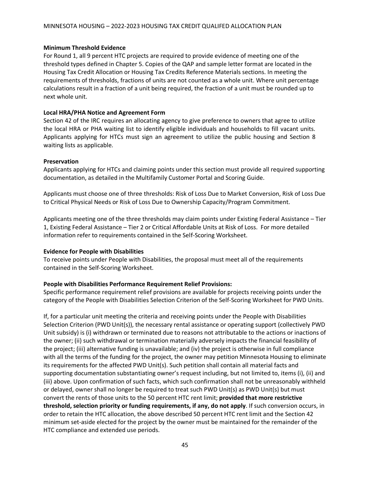#### **Minimum Threshold Evidence**

For Round 1, all 9 percent HTC projects are required to provide evidence of meeting one of the threshold types defined in Chapter 5. Copies of the QAP and sample letter format are located in the Housing Tax Credit Allocation or Housing Tax Credits Reference Materials sections. In meeting the requirements of thresholds, fractions of units are not counted as a whole unit. Where unit percentage calculations result in a fraction of a unit being required, the fraction of a unit must be rounded up to next whole unit.

#### **Local HRA/PHA Notice and Agreement Form**

Section 42 of the IRC requires an allocating agency to give preference to owners that agree to utilize the local HRA or PHA waiting list to identify eligible individuals and households to fill vacant units. Applicants applying for HTCs must sign an agreement to utilize the public housing and Section 8 waiting lists as applicable.

#### **Preservation**

Applicants applying for HTCs and claiming points under this section must provide all required supporting documentation, as detailed in the Multifamily Customer Portal and Scoring Guide.

Applicants must choose one of three thresholds: Risk of Loss Due to Market Conversion, Risk of Loss Due to Critical Physical Needs or Risk of Loss Due to Ownership Capacity/Program Commitment.

Applicants meeting one of the three thresholds may claim points under Existing Federal Assistance – Tier 1, Existing Federal Assistance – Tier 2 or Critical Affordable Units at Risk of Loss. For more detailed information refer to requirements contained in the Self-Scoring Worksheet.

#### **Evidence for People with Disabilities**

To receive points under People with Disabilities, the proposal must meet all of the requirements contained in the Self-Scoring Worksheet.

#### **People with Disabilities Performance Requirement Relief Provisions:**

Specific performance requirement relief provisions are available for projects receiving points under the category of the People with Disabilities Selection Criterion of the Self-Scoring Worksheet for PWD Units.

If, for a particular unit meeting the criteria and receiving points under the People with Disabilities Selection Criterion (PWD Unit(s)), the necessary rental assistance or operating support (collectively PWD Unit subsidy) is (i) withdrawn or terminated due to reasons not attributable to the actions or inactions of the owner; (ii) such withdrawal or termination materially adversely impacts the financial feasibility of the project; (iii) alternative funding is unavailable; and (iv) the project is otherwise in full compliance with all the terms of the funding for the project, the owner may petition Minnesota Housing to eliminate its requirements for the affected PWD Unit(s). Such petition shall contain all material facts and supporting documentation substantiating owner's request including, but not limited to, items (i), (ii) and (iii) above. Upon confirmation of such facts, which such confirmation shall not be unreasonably withheld or delayed, owner shall no longer be required to treat such PWD Unit(s) as PWD Unit(s) but must convert the rents of those units to the 50 percent HTC rent limit; **provided that more restrictive threshold, selection priority or funding requirements, if any, do not apply**. If such conversion occurs, in order to retain the HTC allocation, the above described 50 percent HTC rent limit and the Section 42 minimum set-aside elected for the project by the owner must be maintained for the remainder of the HTC compliance and extended use periods.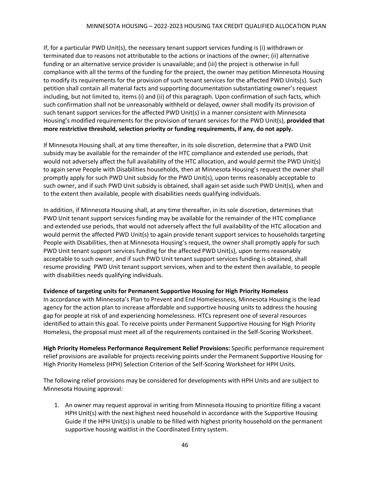If, for a particular PWD Unit(s), the necessary tenant support services funding is (i) withdrawn or terminated due to reasons not attributable to the actions or inactions of the owner; (ii) alternative funding or an alternative service provider is unavailable; and (iii) the project is otherwise in full compliance with all the terms of the funding for the project, the owner may petition Minnesota Housing to modify its requirements for the provision of such tenant services for the affected PWD Units(s). Such petition shall contain all material facts and supporting documentation substantiating owner's request including, but not limited to, items (i) and (ii) of this paragraph. Upon confirmation of such facts, which such confirmation shall not be unreasonably withheld or delayed, owner shall modify its provision of such tenant support services for the affected PWD Unit(s) in a manner consistent with Minnesota Housing's modified requirements for the provision of tenant services for the PWD Unit(s), **provided that more restrictive threshold, selection priority or funding requirements, if any, do not apply.**

If Minnesota Housing shall, at any time thereafter, in its sole discretion, determine that a PWD Unit subsidy may be available for the remainder of the HTC compliance and extended use periods, that would not adversely affect the full availability of the HTC allocation, and would permit the PWD Unit(s) to again serve People with Disabilities households, then at Minnesota Housing's request the owner shall promptly apply for such PWD Unit subsidy for the PWD Unit(s), upon terms reasonably acceptable to such owner, and if such PWD Unit subsidy is obtained, shall again set aside such PWD Unit(s), when and to the extent then available, people with disabilities needs qualifying individuals.

In addition, if Minnesota Housing shall, at any time thereafter, in its sole discretion, determines that PWD Unit tenant support services funding may be available for the remainder of the HTC compliance and extended use periods, that would not adversely affect the full availability of the HTC allocation and would permit the affected PWD Unit(s) to again provide tenant support services to households targeting People with Disabilities, then at Minnesota Housing's request, the owner shall promptly apply for such PWD Unit tenant support services funding for the affected PWD Unit(s), upon terms reasonably acceptable to such owner, and if such PWD Unit tenant support services funding is obtained, shall resume providing PWD Unit tenant support services, when and to the extent then available, to people with disabilities needs qualifying individuals.

#### **Evidence of targeting units for Permanent Supportive Housing for High Priority Homeless**

In accordance with Minnesota's Plan to Prevent and End Homelessness, Minnesota Housing is the lead agency for the action plan to increase affordable and supportive housing units to address the housing gap for people at risk of and experiencing homelessness. HTCs represent one of several resources identified to attain this goal. To receive points under Permanent Supportive Housing for High Priority Homeless, the proposal must meet all of the requirements contained in the Self-Scoring Worksheet.

**High Priority Homeless Performance Requirement Relief Provisions:** Specific performance requirement relief provisions are available for projects receiving points under the Permanent Supportive Housing for High Priority Homeless (HPH) Selection Criterion of the Self-Scoring Worksheet for HPH Units.

The following relief provisions may be considered for developments with HPH Units and are subject to Minnesota Housing approval:

1. An owner may request approval in writing from Minnesota Housing to prioritize filling a vacant HPH Unit(s) with the next highest need household in accordance with the Supportive Housing Guide if the HPH Unit(s) is unable to be filled with highest priority household on the permanent supportive housing waitlist in the Coordinated Entry system.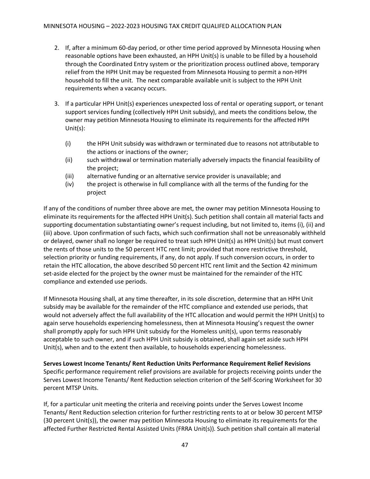- 2. If, after a minimum 60-day period, or other time period approved by Minnesota Housing when reasonable options have been exhausted, an HPH Unit(s) is unable to be filled by a household through the Coordinated Entry system or the prioritization process outlined above, temporary relief from the HPH Unit may be requested from Minnesota Housing to permit a non-HPH household to fill the unit. The next comparable available unit is subject to the HPH Unit requirements when a vacancy occurs.
- 3. If a particular HPH Unit(s) experiences unexpected loss of rental or operating support, or tenant support services funding (collectively HPH Unit subsidy), and meets the conditions below, the owner may petition Minnesota Housing to eliminate its requirements for the affected HPH Unit(s):
	- (i) the HPH Unit subsidy was withdrawn or terminated due to reasons not attributable to the actions or inactions of the owner;
	- (ii) such withdrawal or termination materially adversely impacts the financial feasibility of the project;
	- (iii) alternative funding or an alternative service provider is unavailable; and
	- (iv) the project is otherwise in full compliance with all the terms of the funding for the project

If any of the conditions of number three above are met, the owner may petition Minnesota Housing to eliminate its requirements for the affected HPH Unit(s). Such petition shall contain all material facts and supporting documentation substantiating owner's request including, but not limited to, items (i), (ii) and (iii) above. Upon confirmation of such facts, which such confirmation shall not be unreasonably withheld or delayed, owner shall no longer be required to treat such HPH Unit(s) as HPH Unit(s) but must convert the rents of those units to the 50 percent HTC rent limit; provided that more restrictive threshold, selection priority or funding requirements, if any, do not apply. If such conversion occurs, in order to retain the HTC allocation, the above described 50 percent HTC rent limit and the Section 42 minimum set-aside elected for the project by the owner must be maintained for the remainder of the HTC compliance and extended use periods.

If Minnesota Housing shall, at any time thereafter, in its sole discretion, determine that an HPH Unit subsidy may be available for the remainder of the HTC compliance and extended use periods, that would not adversely affect the full availability of the HTC allocation and would permit the HPH Unit(s) to again serve households experiencing homelessness, then at Minnesota Housing's request the owner shall promptly apply for such HPH Unit subsidy for the Homeless unit(s), upon terms reasonably acceptable to such owner, and if such HPH Unit subsidy is obtained, shall again set aside such HPH Unit(s), when and to the extent then available, to households experiencing homelessness.

**Serves Lowest Income Tenants/ Rent Reduction Units Performance Requirement Relief Revisions** Specific performance requirement relief provisions are available for projects receiving points under the Serves Lowest Income Tenants/ Rent Reduction selection criterion of the Self-Scoring Worksheet for 30 percent MTSP Units.

If, for a particular unit meeting the criteria and receiving points under the Serves Lowest Income Tenants/ Rent Reduction selection criterion for further restricting rents to at or below 30 percent MTSP (30 percent Unit(s)), the owner may petition Minnesota Housing to eliminate its requirements for the affected Further Restricted Rental Assisted Units (FRRA Unit(s)). Such petition shall contain all material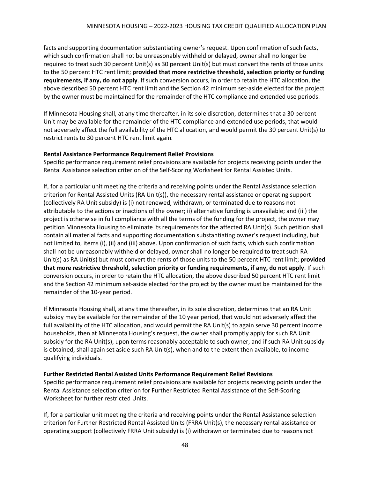facts and supporting documentation substantiating owner's request. Upon confirmation of such facts, which such confirmation shall not be unreasonably withheld or delayed, owner shall no longer be required to treat such 30 percent Unit(s) as 30 percent Unit(s) but must convert the rents of those units to the 50 percent HTC rent limit; **provided that more restrictive threshold, selection priority or funding requirements, if any, do not apply**. If such conversion occurs, in order to retain the HTC allocation, the above described 50 percent HTC rent limit and the Section 42 minimum set-aside elected for the project by the owner must be maintained for the remainder of the HTC compliance and extended use periods.

If Minnesota Housing shall, at any time thereafter, in its sole discretion, determines that a 30 percent Unit may be available for the remainder of the HTC compliance and extended use periods, that would not adversely affect the full availability of the HTC allocation, and would permit the 30 percent Unit(s) to restrict rents to 30 percent HTC rent limit again.

#### **Rental Assistance Performance Requirement Relief Provisions**

Specific performance requirement relief provisions are available for projects receiving points under the Rental Assistance selection criterion of the Self-Scoring Worksheet for Rental Assisted Units.

If, for a particular unit meeting the criteria and receiving points under the Rental Assistance selection criterion for Rental Assisted Units (RA Unit(s)), the necessary rental assistance or operating support (collectively RA Unit subsidy) is (i) not renewed, withdrawn, or terminated due to reasons not attributable to the actions or inactions of the owner; ii) alternative funding is unavailable; and (iii) the project is otherwise in full compliance with all the terms of the funding for the project, the owner may petition Minnesota Housing to eliminate its requirements for the affected RA Unit(s). Such petition shall contain all material facts and supporting documentation substantiating owner's request including, but not limited to, items (i), (ii) and (iii) above. Upon confirmation of such facts, which such confirmation shall not be unreasonably withheld or delayed, owner shall no longer be required to treat such RA Unit(s) as RA Unit(s) but must convert the rents of those units to the 50 percent HTC rent limit; **provided that more restrictive threshold, selection priority or funding requirements, if any, do not apply**. If such conversion occurs, in order to retain the HTC allocation, the above described 50 percent HTC rent limit and the Section 42 minimum set-aside elected for the project by the owner must be maintained for the remainder of the 10-year period.

If Minnesota Housing shall, at any time thereafter, in its sole discretion, determines that an RA Unit subsidy may be available for the remainder of the 10 year period, that would not adversely affect the full availability of the HTC allocation, and would permit the RA Unit(s) to again serve 30 percent income households, then at Minnesota Housing's request, the owner shall promptly apply for such RA Unit subsidy for the RA Unit(s), upon terms reasonably acceptable to such owner, and if such RA Unit subsidy is obtained, shall again set aside such RA Unit(s), when and to the extent then available, to income qualifying individuals.

#### **Further Restricted Rental Assisted Units Performance Requirement Relief Revisions**

Specific performance requirement relief provisions are available for projects receiving points under the Rental Assistance selection criterion for Further Restricted Rental Assistance of the Self-Scoring Worksheet for further restricted Units.

If, for a particular unit meeting the criteria and receiving points under the Rental Assistance selection criterion for Further Restricted Rental Assisted Units (FRRA Unit(s), the necessary rental assistance or operating support (collectively FRRA Unit subsidy) is (i) withdrawn or terminated due to reasons not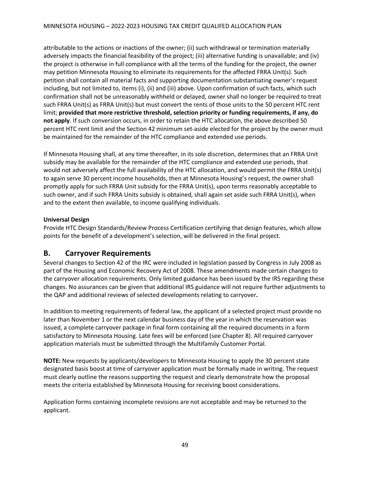attributable to the actions or inactions of the owner; (ii) such withdrawal or termination materially adversely impacts the financial feasibility of the project; (iii) alternative funding is unavailable; and (iv) the project is otherwise in full compliance with all the terms of the funding for the project, the owner may petition Minnesota Housing to eliminate its requirements for the affected FRRA Unit(s). Such petition shall contain all material facts and supporting documentation substantiating owner's request including, but not limited to, items (i), (ii) and (iii) above. Upon confirmation of such facts, which such confirmation shall not be unreasonably withheld or delayed, owner shall no longer be required to treat such FRRA Unit(s) as FRRA Unit(s) but must convert the rents of those units to the 50 percent HTC rent limit; **provided that more restrictive threshold, selection priority or funding requirements, if any, do not apply**. If such conversion occurs, in order to retain the HTC allocation, the above described 50 percent HTC rent limit and the Section 42 minimum set-aside elected for the project by the owner must be maintained for the remainder of the HTC compliance and extended use periods.

If Minnesota Housing shall, at any time thereafter, in its sole discretion, determines that an FRRA Unit subsidy may be available for the remainder of the HTC compliance and extended use periods, that would not adversely affect the full availability of the HTC allocation, and would permit the FRRA Unit(s) to again serve 30 percent income households, then at Minnesota Housing's request, the owner shall promptly apply for such FRRA Unit subsidy for the FRRA Unit(s), upon terms reasonably acceptable to such owner, and if such FRRA Units subsidy is obtained, shall again set aside such FRRA Unit(s), when and to the extent then available, to income qualifying individuals.

#### **Universal Design**

Provide HTC Design Standards/Review Process Certification certifying that design features, which allow points for the benefit of a development's selection, will be delivered in the final project.

### <span id="page-49-0"></span>**B. Carryover Requirements**

Several changes to Section 42 of the IRC were included in legislation passed by Congress in July 2008 as part of the Housing and Economic Recovery Act of 2008. These amendments made certain changes to the carryover allocation requirements. Only limited guidance has been issued by the IRS regarding these changes. No assurances can be given that additional IRS guidance will not require further adjustments to the QAP and additional reviews of selected developments relating to carryover**.**

In addition to meeting requirements of federal law, the applicant of a selected project must provide no later than November 1 or the next calendar business day of the year in which the reservation was issued, a complete carryover package in final form containing all the required documents in a form satisfactory to Minnesota Housing. Late fees will be enforced (see Chapter 8). All required carryover application materials must be submitted through the Multifamily Customer Portal.

**NOTE:** New requests by applicants/developers to Minnesota Housing to apply the 30 percent state designated basis boost at time of carryover application must be formally made in writing. The request must clearly outline the reasons supporting the request and clearly demonstrate how the proposal meets the criteria established by Minnesota Housing for receiving boost considerations.

Application forms containing incomplete revisions are not acceptable and may be returned to the applicant.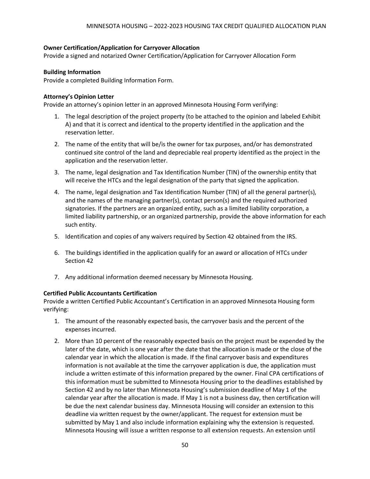#### **Owner Certification/Application for Carryover Allocation**

Provide a signed and notarized Owner Certification/Application for Carryover Allocation Form

#### **Building Information**

Provide a completed Building Information Form.

#### **Attorney's Opinion Letter**

Provide an attorney's opinion letter in an approved Minnesota Housing Form verifying:

- 1. The legal description of the project property (to be attached to the opinion and labeled Exhibit A) and that it is correct and identical to the property identified in the application and the reservation letter.
- 2. The name of the entity that will be/is the owner for tax purposes, and/or has demonstrated continued site control of the land and depreciable real property identified as the project in the application and the reservation letter.
- 3. The name, legal designation and Tax Identification Number (TIN) of the ownership entity that will receive the HTCs and the legal designation of the party that signed the application.
- 4. The name, legal designation and Tax Identification Number (TIN) of all the general partner(s), and the names of the managing partner(s), contact person(s) and the required authorized signatories. If the partners are an organized entity, such as a limited liability corporation, a limited liability partnership, or an organized partnership, provide the above information for each such entity.
- 5. Identification and copies of any waivers required by Section 42 obtained from the IRS.
- 6. The buildings identified in the application qualify for an award or allocation of HTCs under Section 42
- 7. Any additional information deemed necessary by Minnesota Housing.

#### **Certified Public Accountants Certification**

Provide a written Certified Public Accountant's Certification in an approved Minnesota Housing form verifying:

- 1. The amount of the reasonably expected basis, the carryover basis and the percent of the expenses incurred.
- 2. More than 10 percent of the reasonably expected basis on the project must be expended by the later of the date, which is one year after the date that the allocation is made or the close of the calendar year in which the allocation is made. If the final carryover basis and expenditures information is not available at the time the carryover application is due, the application must include a written estimate of this information prepared by the owner. Final CPA certifications of this information must be submitted to Minnesota Housing prior to the deadlines established by Section 42 and by no later than Minnesota Housing's submission deadline of May 1 of the calendar year after the allocation is made. If May 1 is not a business day, then certification will be due the next calendar business day. Minnesota Housing will consider an extension to this deadline via written request by the owner/applicant. The request for extension must be submitted by May 1 and also include information explaining why the extension is requested. Minnesota Housing will issue a written response to all extension requests. An extension until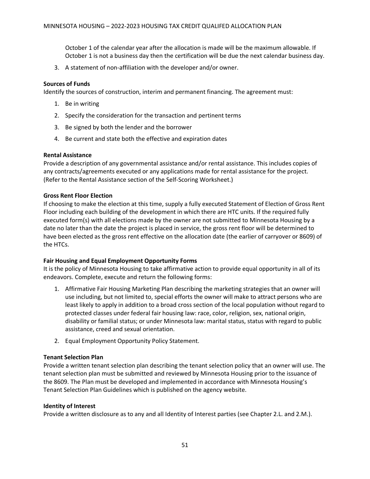October 1 of the calendar year after the allocation is made will be the maximum allowable. If October 1 is not a business day then the certification will be due the next calendar business day.

3. A statement of non-affiliation with the developer and/or owner.

#### **Sources of Funds**

Identify the sources of construction, interim and permanent financing. The agreement must:

- 1. Be in writing
- 2. Specify the consideration for the transaction and pertinent terms
- 3. Be signed by both the lender and the borrower
- 4. Be current and state both the effective and expiration dates

#### **Rental Assistance**

Provide a description of any governmental assistance and/or rental assistance. This includes copies of any contracts/agreements executed or any applications made for rental assistance for the project. (Refer to the Rental Assistance section of the Self-Scoring Worksheet.)

#### **Gross Rent Floor Election**

If choosing to make the election at this time, supply a fully executed Statement of Election of Gross Rent Floor including each building of the development in which there are HTC units. If the required fully executed form(s) with all elections made by the owner are not submitted to Minnesota Housing by a date no later than the date the project is placed in service, the gross rent floor will be determined to have been elected as the gross rent effective on the allocation date (the earlier of carryover or 8609) of the HTCs.

#### **Fair Housing and Equal Employment Opportunity Forms**

It is the policy of Minnesota Housing to take affirmative action to provide equal opportunity in all of its endeavors. Complete, execute and return the following forms:

- 1. Affirmative Fair Housing Marketing Plan describing the marketing strategies that an owner will use including, but not limited to, special efforts the owner will make to attract persons who are least likely to apply in addition to a broad cross section of the local population without regard to protected classes under federal fair housing law: race, color, religion, sex, national origin, disability or familial status; or under Minnesota law: marital status, status with regard to public assistance, creed and sexual orientation.
- 2. Equal Employment Opportunity Policy Statement.

#### **Tenant Selection Plan**

Provide a written tenant selection plan describing the tenant selection policy that an owner will use. The tenant selection plan must be submitted and reviewed by Minnesota Housing prior to the issuance of the 8609. The Plan must be developed and implemented in accordance with Minnesota Housing's Tenant Selection Plan Guidelines which is published on the agency website.

#### **Identity of Interest**

Provide a written disclosure as to any and all Identity of Interest parties (see Chapter 2.L. and 2.M.).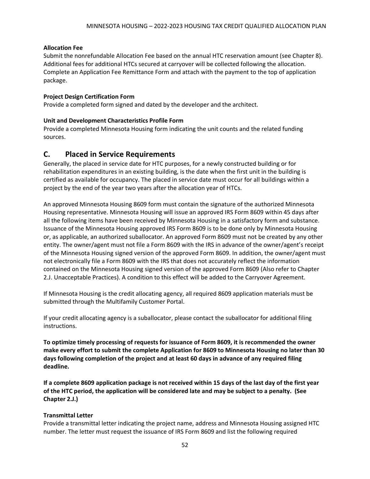#### **Allocation Fee**

Submit the nonrefundable Allocation Fee based on the annual HTC reservation amount (see Chapter 8). Additional fees for additional HTCs secured at carryover will be collected following the allocation. Complete an Application Fee Remittance Form and attach with the payment to the top of application package.

#### **Project Design Certification Form**

Provide a completed form signed and dated by the developer and the architect.

#### **Unit and Development Characteristics Profile Form**

Provide a completed Minnesota Housing form indicating the unit counts and the related funding sources.

#### <span id="page-52-0"></span>**C. Placed in Service Requirements**

Generally, the placed in service date for HTC purposes, for a newly constructed building or for rehabilitation expenditures in an existing building, is the date when the first unit in the building is certified as available for occupancy. The placed in service date must occur for all buildings within a project by the end of the year two years after the allocation year of HTCs.

An approved Minnesota Housing 8609 form must contain the signature of the authorized Minnesota Housing representative. Minnesota Housing will issue an approved IRS Form 8609 within 45 days after all the following items have been received by Minnesota Housing in a satisfactory form and substance. Issuance of the Minnesota Housing approved IRS Form 8609 is to be done only by Minnesota Housing or, as applicable, an authorized suballocator. An approved Form 8609 must not be created by any other entity. The owner/agent must not file a Form 8609 with the IRS in advance of the owner/agent's receipt of the Minnesota Housing signed version of the approved Form 8609. In addition, the owner/agent must not electronically file a Form 8609 with the IRS that does not accurately reflect the information contained on the Minnesota Housing signed version of the approved Form 8609 (Also refer to Chapter 2.J. Unacceptable Practices). A condition to this effect will be added to the Carryover Agreement.

If Minnesota Housing is the credit allocating agency, all required 8609 application materials must be submitted through the Multifamily Customer Portal.

If your credit allocating agency is a suballocator, please contact the suballocator for additional filing instructions.

**To optimize timely processing of requests for issuance of Form 8609, it is recommended the owner make every effort to submit the complete Application for 8609 to Minnesota Housing no later than 30 days following completion of the project and at least 60 days in advance of any required filing deadline.** 

**If a complete 8609 application package is not received within 15 days of the last day of the first year of the HTC period, the application will be considered late and may be subject to a penalty. (See Chapter 2.J.)**

#### **Transmittal Letter**

Provide a transmittal letter indicating the project name, address and Minnesota Housing assigned HTC number. The letter must request the issuance of IRS Form 8609 and list the following required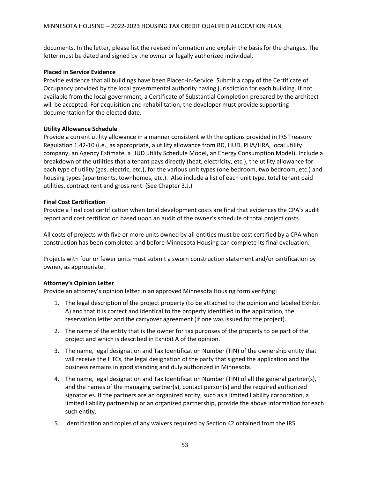documents. In the letter, please list the revised information and explain the basis for the changes. The letter must be dated and signed by the owner or legally authorized individual.

#### **Placed in Service Evidence**

Provide evidence that all buildings have been Placed-in-Service. Submit a copy of the Certificate of Occupancy provided by the local governmental authority having jurisdiction for each building. If not available from the local government, a Certificate of Substantial Completion prepared by the architect will be accepted. For acquisition and rehabilitation, the developer must provide supporting documentation for the elected date.

#### **Utility Allowance Schedule**

Provide a current utility allowance in a manner consistent with the options provided in IRS Treasury Regulation 1.42-10 (i.e., as appropriate, a utility allowance from RD, HUD, PHA/HRA, local utility company, an Agency Estimate, a HUD utility Schedule Model, an Energy Consumption Model). Include a breakdown of the utilities that a tenant pays directly (heat, electricity, etc.), the utility allowance for each type of utility (gas, electric, etc.), for the various unit types (one bedroom, two bedroom, etc.) and housing types (apartments, townhomes, etc.). Also include a list of each unit type, total tenant paid utilities, contract rent and gross rent. (See Chapter 3.J.)

#### **Final Cost Certification**

Provide a final cost certification when total development costs are final that evidences the CPA's audit report and cost certification based upon an audit of the owner's schedule of total project costs.

All costs of projects with five or more units owned by all entities must be cost certified by a CPA when construction has been completed and before Minnesota Housing can complete its final evaluation.

Projects with four or fewer units must submit a sworn construction statement and/or certification by owner, as appropriate.

#### **Attorney's Opinion Letter**

Provide an attorney's opinion letter in an approved Minnesota Housing form verifying:

- 1. The legal description of the project property (to be attached to the opinion and labeled Exhibit A) and that it is correct and identical to the property identified in the application, the reservation letter and the carryover agreement (if one was issued for the project).
- 2. The name of the entity that is the owner for tax purposes of the property to be part of the project and which is described in Exhibit A of the opinion.
- 3. The name, legal designation and Tax Identification Number (TIN) of the ownership entity that will receive the HTCs, the legal designation of the party that signed the application and the business remains in good standing and duly authorized in Minnesota.
- 4. The name, legal designation and Tax Identification Number (TIN) of all the general partner(s), and the names of the managing partner(s), contact person(s) and the required authorized signatories. If the partners are an organized entity, such as a limited liability corporation, a limited liability partnership or an organized partnership, provide the above information for each such entity.
- 5. Identification and copies of any waivers required by Section 42 obtained from the IRS.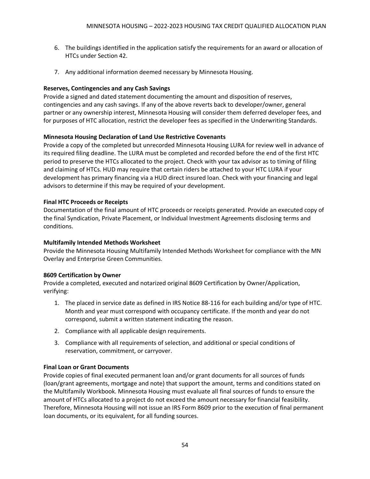- 6. The buildings identified in the application satisfy the requirements for an award or allocation of HTCs under Section 42.
- 7. Any additional information deemed necessary by Minnesota Housing.

#### **Reserves, Contingencies and any Cash Savings**

Provide a signed and dated statement documenting the amount and disposition of reserves, contingencies and any cash savings. If any of the above reverts back to developer/owner, general partner or any ownership interest, Minnesota Housing will consider them deferred developer fees, and for purposes of HTC allocation, restrict the developer fees as specified in the Underwriting Standards.

#### **Minnesota Housing Declaration of Land Use Restrictive Covenants**

Provide a copy of the completed but unrecorded Minnesota Housing LURA for review well in advance of its required filing deadline. The LURA must be completed and recorded before the end of the first HTC period to preserve the HTCs allocated to the project. Check with your tax advisor as to timing of filing and claiming of HTCs. HUD may require that certain riders be attached to your HTC LURA if your development has primary financing via a HUD direct insured loan. Check with your financing and legal advisors to determine if this may be required of your development.

#### **Final HTC Proceeds or Receipts**

Documentation of the final amount of HTC proceeds or receipts generated. Provide an executed copy of the final Syndication, Private Placement, or Individual Investment Agreements disclosing terms and conditions.

#### **Multifamily Intended Methods Worksheet**

Provide the Minnesota Housing Multifamily Intended Methods Worksheet for compliance with the MN Overlay and Enterprise Green Communities.

#### **8609 Certification by Owner**

Provide a completed, executed and notarized original 8609 Certification by Owner/Application, verifying:

- 1. The placed in service date as defined in IRS Notice 88-116 for each building and/or type of HTC. Month and year must correspond with occupancy certificate. If the month and year do not correspond, submit a written statement indicating the reason.
- 2. Compliance with all applicable design requirements.
- 3. Compliance with all requirements of selection, and additional or special conditions of reservation, commitment, or carryover.

#### **Final Loan or Grant Documents**

Provide copies of final executed permanent loan and/or grant documents for all sources of funds (loan/grant agreements, mortgage and note) that support the amount, terms and conditions stated on the Multifamily Workbook. Minnesota Housing must evaluate all final sources of funds to ensure the amount of HTCs allocated to a project do not exceed the amount necessary for financial feasibility. Therefore, Minnesota Housing will not issue an IRS Form 8609 prior to the execution of final permanent loan documents, or its equivalent, for all funding sources.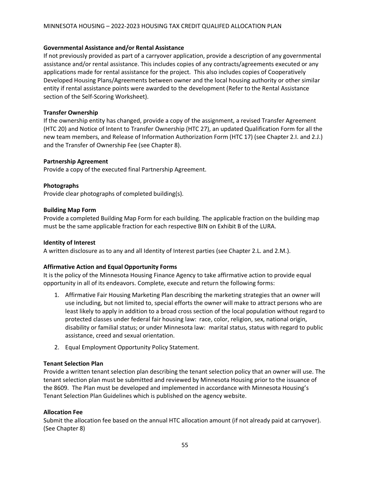#### **Governmental Assistance and/or Rental Assistance**

If not previously provided as part of a carryover application, provide a description of any governmental assistance and/or rental assistance. This includes copies of any contracts/agreements executed or any applications made for rental assistance for the project. This also includes copies of Cooperatively Developed Housing Plans/Agreements between owner and the local housing authority or other similar entity if rental assistance points were awarded to the development (Refer to the Rental Assistance section of the Self-Scoring Worksheet).

#### **Transfer Ownership**

If the ownership entity has changed, provide a copy of the assignment, a revised Transfer Agreement (HTC 20) and Notice of Intent to Transfer Ownership (HTC 27), an updated Qualification Form for all the new team members, and Release of Information Authorization Form (HTC 17) (see Chapter 2.I. and 2.J.) and the Transfer of Ownership Fee (see Chapter 8).

#### **Partnership Agreement**

Provide a copy of the executed final Partnership Agreement.

#### **Photographs**

Provide clear photographs of completed building(s).

#### **Building Map Form**

Provide a completed Building Map Form for each building. The applicable fraction on the building map must be the same applicable fraction for each respective BIN on Exhibit B of the LURA.

#### **Identity of Interest**

A written disclosure as to any and all Identity of Interest parties (see Chapter 2.L. and 2.M.).

#### **Affirmative Action and Equal Opportunity Forms**

It is the policy of the Minnesota Housing Finance Agency to take affirmative action to provide equal opportunity in all of its endeavors. Complete, execute and return the following forms:

- 1. Affirmative Fair Housing Marketing Plan describing the marketing strategies that an owner will use including, but not limited to, special efforts the owner will make to attract persons who are least likely to apply in addition to a broad cross section of the local population without regard to protected classes under federal fair housing law: race, color, religion, sex, national origin, disability or familial status; or under Minnesota law: marital status, status with regard to public assistance, creed and sexual orientation.
- 2. Equal Employment Opportunity Policy Statement.

#### **Tenant Selection Plan**

Provide a written tenant selection plan describing the tenant selection policy that an owner will use. The tenant selection plan must be submitted and reviewed by Minnesota Housing prior to the issuance of the 8609. The Plan must be developed and implemented in accordance with Minnesota Housing's Tenant Selection Plan Guidelines which is published on the agency website.

#### **Allocation Fee**

Submit the allocation fee based on the annual HTC allocation amount (if not already paid at carryover). (See Chapter 8)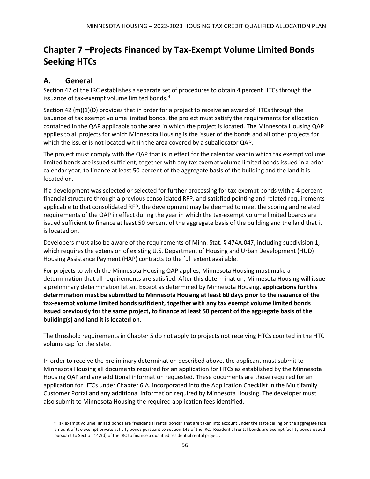# <span id="page-56-0"></span>**Chapter 7 –Projects Financed by Tax-Exempt Volume Limited Bonds Seeking HTCs**

### <span id="page-56-1"></span>**A. General**

Section 42 of the IRC establishes a separate set of procedures to obtain 4 percent HTCs through the issuance of tax-exempt volume limited bonds.<sup>[4](#page-56-2)</sup>

Section 42 (m)(1)(D) provides that in order for a project to receive an award of HTCs through the issuance of tax exempt volume limited bonds, the project must satisfy the requirements for allocation contained in the QAP applicable to the area in which the project is located. The Minnesota Housing QAP applies to all projects for which Minnesota Housing is the issuer of the bonds and all other projects for which the issuer is not located within the area covered by a suballocator QAP.

The project must comply with the QAP that is in effect for the calendar year in which tax exempt volume limited bonds are issued sufficient, together with any tax exempt volume limited bonds issued in a prior calendar year, to finance at least 50 percent of the aggregate basis of the building and the land it is located on.

If a development was selected or selected for further processing for tax-exempt bonds with a 4 percent financial structure through a previous consolidated RFP, and satisfied pointing and related requirements applicable to that consolidated RFP, the development may be deemed to meet the scoring and related requirements of the QAP in effect during the year in which the tax-exempt volume limited boards are issued sufficient to finance at least 50 percent of the aggregate basis of the building and the land that it is located on.

Developers must also be aware of the requirements of Minn. Stat. § 474A.047, including subdivision 1, which requires the extension of existing U.S. Department of Housing and Urban Development (HUD) Housing Assistance Payment (HAP) contracts to the full extent available.

For projects to which the Minnesota Housing QAP applies, Minnesota Housing must make a determination that all requirements are satisfied. After this determination, Minnesota Housing will issue a preliminary determination letter. Except as determined by Minnesota Housing, **applications for this determination must be submitted to Minnesota Housing at least 60 days prior to the issuance of the tax-exempt volume limited bonds sufficient, together with any tax exempt volume limited bonds issued previously for the same project, to finance at least 50 percent of the aggregate basis of the building(s) and land it is located on.** 

The threshold requirements in Chapter 5 do not apply to projects not receiving HTCs counted in the HTC volume cap for the state.

In order to receive the preliminary determination described above, the applicant must submit to Minnesota Housing all documents required for an application for HTCs as established by the Minnesota Housing QAP and any additional information requested. These documents are those required for an application for HTCs under Chapter 6.A. incorporated into the Application Checklist in the Multifamily Customer Portal and any additional information required by Minnesota Housing. The developer must also submit to Minnesota Housing the required application fees identified.

<span id="page-56-2"></span><sup>4</sup> Tax exempt volume limited bonds are "residential rental bonds" that are taken into account under the state ceiling on the aggregate face amount of tax-exempt private activity bonds pursuant to Section 146 of the IRC. Residential rental bonds are exempt facility bonds issued pursuant to Section 142(d) of the IRC to finance a qualified residential rental project.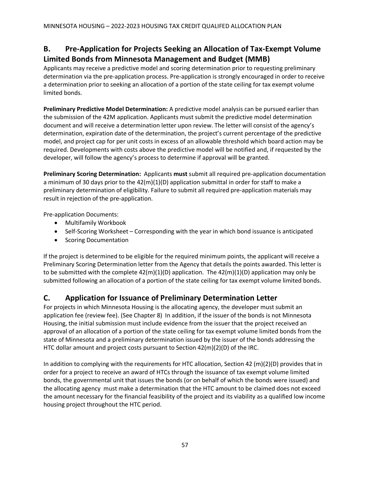### <span id="page-57-0"></span>**B. Pre-Application for Projects Seeking an Allocation of Tax-Exempt Volume Limited Bonds from Minnesota Management and Budget (MMB)**

Applicants may receive a predictive model and scoring determination prior to requesting preliminary determination via the pre-application process. Pre-application is strongly encouraged in order to receive a determination prior to seeking an allocation of a portion of the state ceiling for tax exempt volume limited bonds.

**Preliminary Predictive Model Determination:** A predictive model analysis can be pursued earlier than the submission of the 42M application. Applicants must submit the predictive model determination document and will receive a determination letter upon review. The letter will consist of the agency's determination, expiration date of the determination, the project's current percentage of the predictive model, and project cap for per unit costs in excess of an allowable threshold which board action may be required. Developments with costs above the predictive model will be notified and, if requested by the developer, will follow the agency's process to determine if approval will be granted.

**Preliminary Scoring Determination:** Applicants **must** submit all required pre-application documentation a minimum of 30 days prior to the 42(m)(1)(D) application submittal in order for staff to make a preliminary determination of eligibility. Failure to submit all required pre-application materials may result in rejection of the pre-application.

Pre-application Documents:

- Multifamily Workbook
- Self-Scoring Worksheet Corresponding with the year in which bond issuance is anticipated
- Scoring Documentation

If the project is determined to be eligible for the required minimum points, the applicant will receive a Preliminary Scoring Determination letter from the Agency that details the points awarded. This letter is to be submitted with the complete  $42(m)(1)(D)$  application. The  $42(m)(1)(D)$  application may only be submitted following an allocation of a portion of the state ceiling for tax exempt volume limited bonds.

### <span id="page-57-1"></span>**C. Application for Issuance of Preliminary Determination Letter**

For projects in which Minnesota Housing is the allocating agency, the developer must submit an application fee (review fee). (See Chapter 8) In addition, if the issuer of the bonds is not Minnesota Housing, the initial submission must include evidence from the issuer that the project received an approval of an allocation of a portion of the state ceiling for tax exempt volume limited bonds from the state of Minnesota and a preliminary determination issued by the issuer of the bonds addressing the HTC dollar amount and project costs pursuant to Section 42(m)(2)(D) of the IRC.

In addition to complying with the requirements for HTC allocation, Section 42 (m)(2)(D) provides that in order for a project to receive an award of HTCs through the issuance of tax exempt volume limited bonds, the governmental unit that issues the bonds (or on behalf of which the bonds were issued) and the allocating agency must make a determination that the HTC amount to be claimed does not exceed the amount necessary for the financial feasibility of the project and its viability as a qualified low income housing project throughout the HTC period.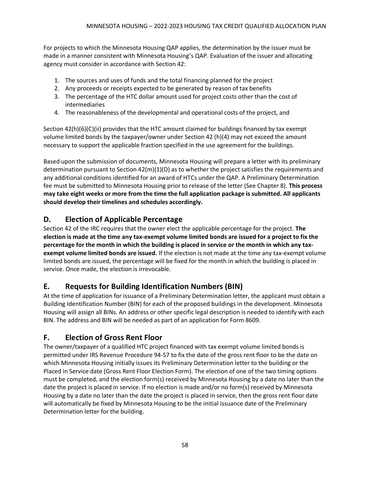For projects to which the Minnesota Housing QAP applies, the determination by the issuer must be made in a manner consistent with Minnesota Housing's QAP. Evaluation of the issuer and allocating agency must consider in accordance with Section 42:

- 1. The sources and uses of funds and the total financing planned for the project
- 2. Any proceeds or receipts expected to be generated by reason of tax benefits
- 3. The percentage of the HTC dollar amount used for project costs other than the cost of intermediaries
- 4. The reasonableness of the developmental and operational costs of the project, and

Section 42(h)(6)(C)(ii) provides that the HTC amount claimed for buildings financed by tax exempt volume limited bonds by the taxpayer/owner under Section 42 (h)(4) may not exceed the amount necessary to support the applicable fraction specified in the use agreement for the buildings.

Based upon the submission of documents, Minnesota Housing will prepare a letter with its preliminary determination pursuant to Section 42(m)(1)(D) as to whether the project satisfies the requirements and any additional conditions identified for an award of HTCs under the QAP. A Preliminary Determination fee must be submitted to Minnesota Housing prior to release of the letter (See Chapter 8). **This process may take eight weeks or more from the time the full application package is submitted. All applicants should develop their timelines and schedules accordingly.**

### <span id="page-58-0"></span>**D. Election of Applicable Percentage**

Section 42 of the IRC requires that the owner elect the applicable percentage for the project. **The election is made at the time any tax-exempt volume limited bonds are issued for a project to fix the percentage for the month in which the building is placed in service or the month in which any taxexempt volume limited bonds are issued.** If the election is not made at the time any tax-exempt volume limited bonds are issued, the percentage will be fixed for the month in which the building is placed in service. Once made, the election is irrevocable.

### <span id="page-58-1"></span>**E. Requests for Building Identification Numbers (BIN)**

At the time of application for issuance of a Preliminary Determination letter, the applicant must obtain a Building Identification Number (BIN) for each of the proposed buildings in the development. Minnesota Housing will assign all BINs. An address or other specific legal description is needed to identify with each BIN. The address and BIN will be needed as part of an application for Form 8609.

### <span id="page-58-2"></span>**F. Election of Gross Rent Floor**

The owner/taxpayer of a qualified HTC project financed with tax exempt volume limited bonds is permitted under IRS Revenue Procedure 94-57 to fix the date of the gross rent floor to be the date on which Minnesota Housing initially issues its Preliminary Determination letter to the building or the Placed in Service date (Gross Rent Floor Election Form). The election of one of the two timing options must be completed, and the election form(s) received by Minnesota Housing by a date no later than the date the project is placed in service. If no election is made and/or no form(s) received by Minnesota Housing by a date no later than the date the project is placed in service, then the gross rent floor date will automatically be fixed by Minnesota Housing to be the initial issuance date of the Preliminary Determination letter for the building.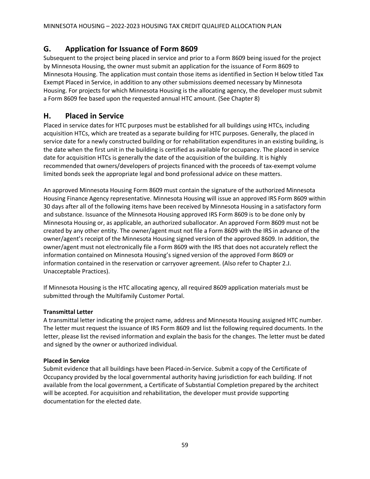### <span id="page-59-0"></span>**G. Application for Issuance of Form 8609**

Subsequent to the project being placed in service and prior to a Form 8609 being issued for the project by Minnesota Housing, the owner must submit an application for the issuance of Form 8609 to Minnesota Housing. The application must contain those items as identified in Section H below titled Tax Exempt Placed in Service, in addition to any other submissions deemed necessary by Minnesota Housing. For projects for which Minnesota Housing is the allocating agency, the developer must submit a Form 8609 fee based upon the requested annual HTC amount. (See Chapter 8)

### <span id="page-59-1"></span>**H. Placed in Service**

Placed in service dates for HTC purposes must be established for all buildings using HTCs, including acquisition HTCs, which are treated as a separate building for HTC purposes. Generally, the placed in service date for a newly constructed building or for rehabilitation expenditures in an existing building, is the date when the first unit in the building is certified as available for occupancy. The placed in service date for acquisition HTCs is generally the date of the acquisition of the building. It is highly recommended that owners/developers of projects financed with the proceeds of tax-exempt volume limited bonds seek the appropriate legal and bond professional advice on these matters.

An approved Minnesota Housing Form 8609 must contain the signature of the authorized Minnesota Housing Finance Agency representative. Minnesota Housing will issue an approved IRS Form 8609 within 30 days after all of the following items have been received by Minnesota Housing in a satisfactory form and substance. Issuance of the Minnesota Housing approved IRS Form 8609 is to be done only by Minnesota Housing or, as applicable, an authorized suballocator. An approved Form 8609 must not be created by any other entity. The owner/agent must not file a Form 8609 with the IRS in advance of the owner/agent's receipt of the Minnesota Housing signed version of the approved 8609. In addition, the owner/agent must not electronically file a Form 8609 with the IRS that does not accurately reflect the information contained on Minnesota Housing's signed version of the approved Form 8609 or information contained in the reservation or carryover agreement. (Also refer to Chapter 2.J. Unacceptable Practices).

If Minnesota Housing is the HTC allocating agency, all required 8609 application materials must be submitted through the Multifamily Customer Portal.

#### **Transmittal Letter**

A transmittal letter indicating the project name, address and Minnesota Housing assigned HTC number. The letter must request the issuance of IRS Form 8609 and list the following required documents. In the letter, please list the revised information and explain the basis for the changes. The letter must be dated and signed by the owner or authorized individual.

#### **Placed in Service**

Submit evidence that all buildings have been Placed-in-Service. Submit a copy of the Certificate of Occupancy provided by the local governmental authority having jurisdiction for each building. If not available from the local government, a Certificate of Substantial Completion prepared by the architect will be accepted. For acquisition and rehabilitation, the developer must provide supporting documentation for the elected date.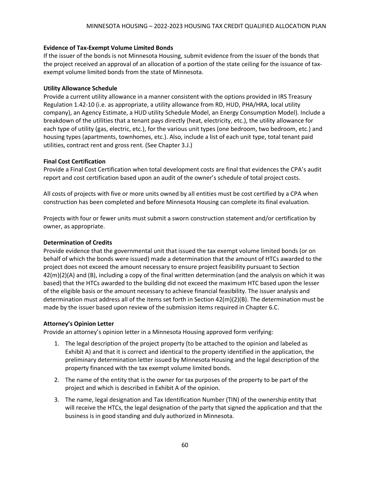#### **Evidence of Tax-Exempt Volume Limited Bonds**

If the issuer of the bonds is not Minnesota Housing, submit evidence from the issuer of the bonds that the project received an approval of an allocation of a portion of the state ceiling for the issuance of taxexempt volume limited bonds from the state of Minnesota.

#### **Utility Allowance Schedule**

Provide a current utility allowance in a manner consistent with the options provided in IRS Treasury Regulation 1.42-10 (i.e. as appropriate, a utility allowance from RD, HUD, PHA/HRA, local utility company), an Agency Estimate, a HUD utility Schedule Model, an Energy Consumption Model). Include a breakdown of the utilities that a tenant pays directly (heat, electricity, etc.), the utility allowance for each type of utility (gas, electric, etc.), for the various unit types (one bedroom, two bedroom, etc.) and housing types (apartments, townhomes, etc.). Also, include a list of each unit type, total tenant paid utilities, contract rent and gross rent. (See Chapter 3.J.)

#### **Final Cost Certification**

Provide a Final Cost Certification when total development costs are final that evidences the CPA's audit report and cost certification based upon an audit of the owner's schedule of total project costs.

All costs of projects with five or more units owned by all entities must be cost certified by a CPA when construction has been completed and before Minnesota Housing can complete its final evaluation.

Projects with four or fewer units must submit a sworn construction statement and/or certification by owner, as appropriate.

#### **Determination of Credits**

Provide evidence that the governmental unit that issued the tax exempt volume limited bonds (or on behalf of which the bonds were issued) made a determination that the amount of HTCs awarded to the project does not exceed the amount necessary to ensure project feasibility pursuant to Section  $42(m)(2)(A)$  and (B), including a copy of the final written determination (and the analysis on which it was based) that the HTCs awarded to the building did not exceed the maximum HTC based upon the lesser of the eligible basis or the amount necessary to achieve financial feasibility. The issuer analysis and determination must address all of the items set forth in Section 42(m)(2)(B). The determination must be made by the issuer based upon review of the submission items required in Chapter 6.C.

#### **Attorney's Opinion Letter**

Provide an attorney's opinion letter in a Minnesota Housing approved form verifying:

- 1. The legal description of the project property (to be attached to the opinion and labeled as Exhibit A) and that it is correct and identical to the property identified in the application, the preliminary determination letter issued by Minnesota Housing and the legal description of the property financed with the tax exempt volume limited bonds.
- 2. The name of the entity that is the owner for tax purposes of the property to be part of the project and which is described in Exhibit A of the opinion.
- 3. The name, legal designation and Tax Identification Number (TIN) of the ownership entity that will receive the HTCs, the legal designation of the party that signed the application and that the business is in good standing and duly authorized in Minnesota.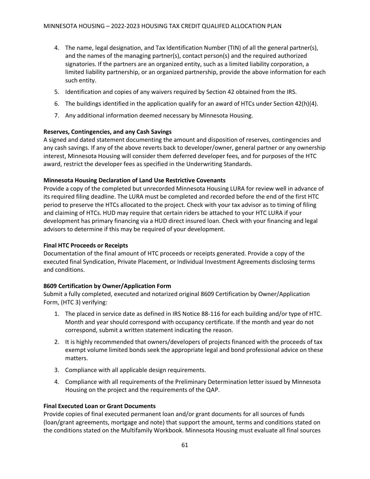- 4. The name, legal designation, and Tax Identification Number (TIN) of all the general partner(s), and the names of the managing partner(s), contact person(s) and the required authorized signatories. If the partners are an organized entity, such as a limited liability corporation, a limited liability partnership, or an organized partnership, provide the above information for each such entity.
- 5. Identification and copies of any waivers required by Section 42 obtained from the IRS.
- 6. The buildings identified in the application qualify for an award of HTCs under Section 42(h)(4).
- 7. Any additional information deemed necessary by Minnesota Housing.

#### **Reserves, Contingencies, and any Cash Savings**

A signed and dated statement documenting the amount and disposition of reserves, contingencies and any cash savings. If any of the above reverts back to developer/owner, general partner or any ownership interest, Minnesota Housing will consider them deferred developer fees, and for purposes of the HTC award, restrict the developer fees as specified in the Underwriting Standards.

#### **Minnesota Housing Declaration of Land Use Restrictive Covenants**

Provide a copy of the completed but unrecorded Minnesota Housing LURA for review well in advance of its required filing deadline. The LURA must be completed and recorded before the end of the first HTC period to preserve the HTCs allocated to the project. Check with your tax advisor as to timing of filing and claiming of HTCs. HUD may require that certain riders be attached to your HTC LURA if your development has primary financing via a HUD direct insured loan. Check with your financing and legal advisors to determine if this may be required of your development.

#### **Final HTC Proceeds or Receipts**

Documentation of the final amount of HTC proceeds or receipts generated. Provide a copy of the executed final Syndication, Private Placement, or Individual Investment Agreements disclosing terms and conditions.

#### **8609 Certification by Owner/Application Form**

Submit a fully completed, executed and notarized original 8609 Certification by Owner/Application Form, (HTC 3) verifying:

- 1. The placed in service date as defined in IRS Notice 88-116 for each building and/or type of HTC. Month and year should correspond with occupancy certificate. If the month and year do not correspond, submit a written statement indicating the reason.
- 2. It is highly recommended that owners/developers of projects financed with the proceeds of tax exempt volume limited bonds seek the appropriate legal and bond professional advice on these matters.
- 3. Compliance with all applicable design requirements.
- 4. Compliance with all requirements of the Preliminary Determination letter issued by Minnesota Housing on the project and the requirements of the QAP.

#### **Final Executed Loan or Grant Documents**

Provide copies of final executed permanent loan and/or grant documents for all sources of funds (loan/grant agreements, mortgage and note) that support the amount, terms and conditions stated on the conditions stated on the Multifamily Workbook. Minnesota Housing must evaluate all final sources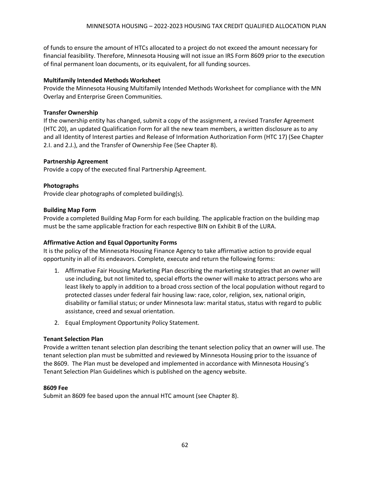of funds to ensure the amount of HTCs allocated to a project do not exceed the amount necessary for financial feasibility. Therefore, Minnesota Housing will not issue an IRS Form 8609 prior to the execution of final permanent loan documents, or its equivalent, for all funding sources.

#### **Multifamily Intended Methods Worksheet**

Provide the Minnesota Housing Multifamily Intended Methods Worksheet for compliance with the MN Overlay and Enterprise Green Communities.

#### **Transfer Ownership**

If the ownership entity has changed, submit a copy of the assignment, a revised Transfer Agreement (HTC 20), an updated Qualification Form for all the new team members, a written disclosure as to any and all Identity of Interest parties and Release of Information Authorization Form (HTC 17) (See Chapter 2.I. and 2.J.), and the Transfer of Ownership Fee (See Chapter 8).

#### **Partnership Agreement**

Provide a copy of the executed final Partnership Agreement.

#### **Photographs**

Provide clear photographs of completed building(s).

#### **Building Map Form**

Provide a completed Building Map Form for each building. The applicable fraction on the building map must be the same applicable fraction for each respective BIN on Exhibit B of the LURA.

#### **Affirmative Action and Equal Opportunity Forms**

It is the policy of the Minnesota Housing Finance Agency to take affirmative action to provide equal opportunity in all of its endeavors. Complete, execute and return the following forms:

- 1. Affirmative Fair Housing Marketing Plan describing the marketing strategies that an owner will use including, but not limited to, special efforts the owner will make to attract persons who are least likely to apply in addition to a broad cross section of the local population without regard to protected classes under federal fair housing law: race, color, religion, sex, national origin, disability or familial status; or under Minnesota law: marital status, status with regard to public assistance, creed and sexual orientation.
- 2. Equal Employment Opportunity Policy Statement.

#### **Tenant Selection Plan**

Provide a written tenant selection plan describing the tenant selection policy that an owner will use. The tenant selection plan must be submitted and reviewed by Minnesota Housing prior to the issuance of the 8609. The Plan must be developed and implemented in accordance with Minnesota Housing's Tenant Selection Plan Guidelines which is published on the agency website.

#### **8609 Fee**

Submit an 8609 fee based upon the annual HTC amount (see Chapter 8).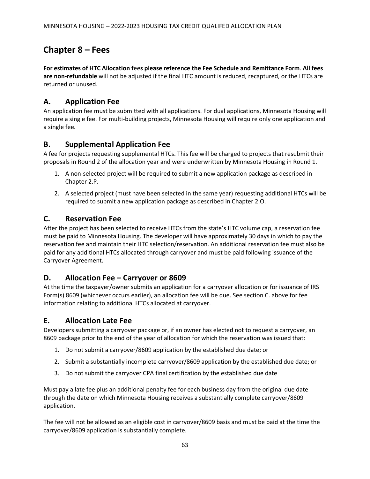# <span id="page-63-0"></span>**Chapter 8 – Fees**

**For estimates of HTC Allocation f**ee**s please reference the Fee Schedule and Remittance Form**. **All fees are non-refundable** will not be adjusted if the final HTC amount is reduced, recaptured, or the HTCs are returned or unused.

### <span id="page-63-1"></span>**A. Application Fee**

An application fee must be submitted with all applications. For dual applications, Minnesota Housing will require a single fee. For multi-building projects, Minnesota Housing will require only one application and a single fee.

### <span id="page-63-2"></span>**B. Supplemental Application Fee**

A fee for projects requesting supplemental HTCs. This fee will be charged to projects that resubmit their proposals in Round 2 of the allocation year and were underwritten by Minnesota Housing in Round 1.

- 1. A non-selected project will be required to submit a new application package as described in Chapter 2.P.
- 2. A selected project (must have been selected in the same year) requesting additional HTCs will be required to submit a new application package as described in Chapter 2.O.

### <span id="page-63-3"></span>**C. Reservation Fee**

After the project has been selected to receive HTCs from the state's HTC volume cap, a reservation fee must be paid to Minnesota Housing. The developer will have approximately 30 days in which to pay the reservation fee and maintain their HTC selection/reservation. An additional reservation fee must also be paid for any additional HTCs allocated through carryover and must be paid following issuance of the Carryover Agreement.

### <span id="page-63-4"></span>**D. Allocation Fee – Carryover or 8609**

At the time the taxpayer/owner submits an application for a carryover allocation or for issuance of IRS Form(s) 8609 (whichever occurs earlier), an allocation fee will be due. See section C. above for fee information relating to additional HTCs allocated at carryover.

### <span id="page-63-5"></span>**E. Allocation Late Fee**

Developers submitting a carryover package or, if an owner has elected not to request a carryover, an 8609 package prior to the end of the year of allocation for which the reservation was issued that:

- 1. Do not submit a carryover/8609 application by the established due date; or
- 2. Submit a substantially incomplete carryover/8609 application by the established due date; or
- 3. Do not submit the carryover CPA final certification by the established due date

Must pay a late fee plus an additional penalty fee for each business day from the original due date through the date on which Minnesota Housing receives a substantially complete carryover/8609 application.

The fee will not be allowed as an eligible cost in carryover/8609 basis and must be paid at the time the carryover/8609 application is substantially complete.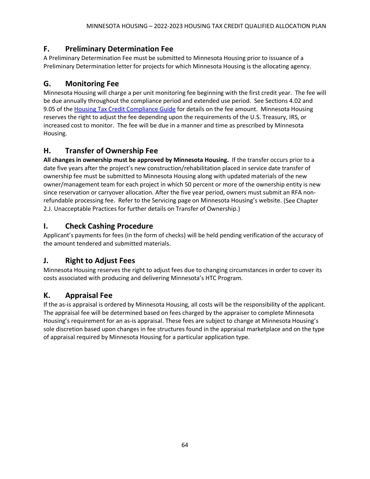### <span id="page-64-0"></span>**F. Preliminary Determination Fee**

A Preliminary Determination Fee must be submitted to Minnesota Housing prior to issuance of a Preliminary Determination letter for projects for which Minnesota Housing is the allocating agency.

### <span id="page-64-1"></span>**G. Monitoring Fee**

Minnesota Housing will charge a per unit monitoring fee beginning with the first credit year. The fee will be due annually throughout the compliance period and extended use period. See Sections 4.02 and 9.05 of the [Housing Tax Credit Compliance Guide](http://www.mnhousing.gov/get/MHFA_1042363) for details on the fee amount. Minnesota Housing reserves the right to adjust the fee depending upon the requirements of the U.S. Treasury, IRS, or increased cost to monitor. The fee will be due in a manner and time as prescribed by Minnesota Housing.

### <span id="page-64-2"></span>**H. Transfer of Ownership Fee**

**All changes in ownership must be approved by Minnesota Housing.** If the transfer occurs prior to a date five years after the project's new construction/rehabilitation placed in service date transfer of ownership fee must be submitted to Minnesota Housing along with updated materials of the new owner/management team for each project in which 50 percent or more of the ownership entity is new since reservation or carryover allocation. After the five year period, owners must submit an RFA nonrefundable processing fee. Refer to the Servicing page on Minnesota Housing's website. (See Chapter 2.J. Unacceptable Practices for further details on Transfer of Ownership.)

### <span id="page-64-3"></span>**I. Check Cashing Procedure**

Applicant's payments for fees (in the form of checks) will be held pending verification of the accuracy of the amount tendered and submitted materials.

### <span id="page-64-4"></span>**J. Right to Adjust Fees**

Minnesota Housing reserves the right to adjust fees due to changing circumstances in order to cover its costs associated with producing and delivering Minnesota's HTC Program.

### <span id="page-64-5"></span>**K. Appraisal Fee**

If the as-is appraisal is ordered by Minnesota Housing, all costs will be the responsibility of the applicant. The appraisal fee will be determined based on fees charged by the appraiser to complete Minnesota Housing's requirement for an as-is appraisal. These fees are subject to change at Minnesota Housing's sole discretion based upon changes in fee structures found in the appraisal marketplace and on the type of appraisal required by Minnesota Housing for a particular application type.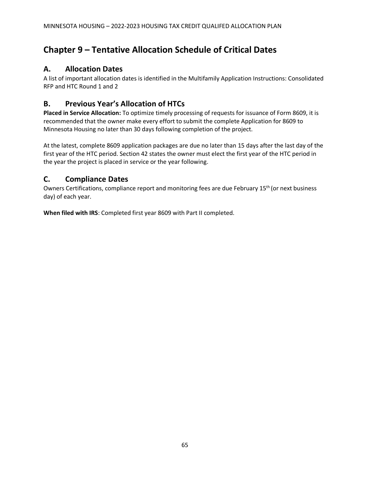# <span id="page-65-0"></span>**Chapter 9 – Tentative Allocation Schedule of Critical Dates**

### <span id="page-65-1"></span>**A. Allocation Dates**

A list of important allocation dates is identified in the Multifamily Application Instructions: Consolidated RFP and HTC Round 1 and 2

### <span id="page-65-2"></span>**B. Previous Year's Allocation of HTCs**

**Placed in Service Allocation:** To optimize timely processing of requests for issuance of Form 8609, it is recommended that the owner make every effort to submit the complete Application for 8609 to Minnesota Housing no later than 30 days following completion of the project.

At the latest, complete 8609 application packages are due no later than 15 days after the last day of the first year of the HTC period. Section 42 states the owner must elect the first year of the HTC period in the year the project is placed in service or the year following.

### <span id="page-65-3"></span>**C. Compliance Dates**

Owners Certifications, compliance report and monitoring fees are due February 15<sup>th</sup> (or next business day) of each year.

**When filed with IRS**: Completed first year 8609 with Part II completed.